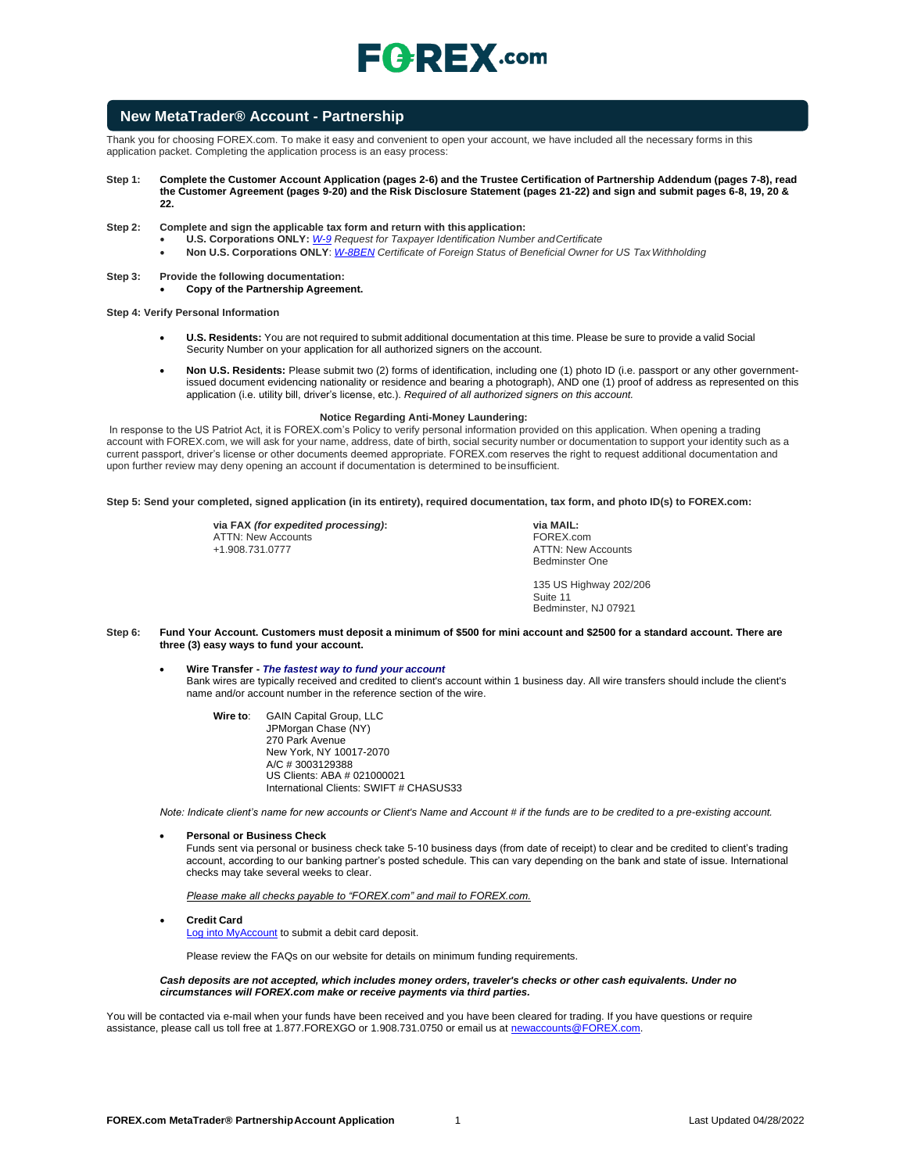

### **New MetaTrader® Account - Partnership**

Thank you for choosing FOREX.com. To make it easy and convenient to open your account, we have included all the necessary forms in this application packet. Completing the application process is an easy process:

- **Step 1: Complete the Customer Account Application (pages 2-6) and the Trustee Certification of Partnership Addendum (pages 7-8), read the Customer Agreement (pages 9-20) and the Risk Disclosure Statement (pages 21-22) and sign and submit pages 6-8, 19, 20 & 22.**
- **Step 2: Complete and sign the applicable tax form and return with this application:**
	- **U.S. Corporations ONLY:** *[W-9](https://www.irs.gov/pub/irs-pdf/fw9.pdf) Request for Taxpayer Identification Number andCertificate*
	- **Non U.S. Corporations ONLY**: *[W-8BEN](https://www.irs.gov/pub/irs-pdf/fw8ben.pdf) Certificate of Foreign Status of Beneficial Owner for US TaxWithholding*
- **Step 3: Provide the following documentation:**
	- **Copy of the Partnership Agreement.**

**Step 4: Verify Personal Information**

- **U.S. Residents:** You are not required to submit additional documentation at this time. Please be sure to provide a valid Social Security Number on your application for all authorized signers on the account.
- **Non U.S. Residents:** Please submit two (2) forms of identification, including one (1) photo ID (i.e. passport or any other governmentissued document evidencing nationality or residence and bearing a photograph), AND one (1) proof of address as represented on this application (i.e. utility bill, driver's license, etc.). *Required of all authorized signers on this account.*

#### **Notice Regarding Anti-Money Laundering:**

In response to the US Patriot Act, it is FOREX.com's Policy to verify personal information provided on this application. When opening a trading account with FOREX.com, we will ask for your name, address, date of birth, social security number or documentation to support your identity such as a current passport, driver's license or other documents deemed appropriate. FOREX.com reserves the right to request additional documentation and upon further review may deny opening an account if documentation is determined to be insufficient.

**Step 5: Send your completed, signed application (in its entirety), required documentation, tax form, and photo ID(s) to FOREX.com:**

**via FAX** *(for expedited processing)***:** ATTN: New Accounts +1.908.731.0777

**via MAIL:** FOREX.com ATTN: New Accounts Bedminster One

135 US Highway 202/206 Suite 11 Bedminster, NJ 07921

- **Step 6: Fund Your Account. Customers must deposit a minimum of \$500 for mini account and \$2500 for a standard account. There are three (3) easy ways to fund your account.**
	- **Wire Transfer -** *The fastest way to fund your account* Bank wires are typically received and credited to client's account within 1 business day. All wire transfers should include the client's name and/or account number in the reference section of the wire.
		- **Wire to**: GAIN Capital Group, LLC JPMorgan Chase (NY) 270 Park Avenue New York, NY 10017-2070 A/C # 3003129388 US Clients: ABA # 021000021 International Clients: SWIFT # CHASUS33

*Note: Indicate client's name for new accounts or Client's Name and Account # if the funds are to be credited to a pre-existing account.*

• **Personal or Business Check**

Funds sent via personal or business check take 5-10 business days (from date of receipt) to clear and be credited to client's trading account, according to our banking partner's posted schedule. This can vary depending on the bank and state of issue. International checks may take several weeks to clear.

*Please make all checks payable to "FOREX.com" and mail to FOREX.com.*

• **Credit Card**

[Log into MyAccount](http://www.forex.com/myaccount.html) to submit a debit card deposit.

Please review the FAQs on our website for details on minimum funding requirements.

#### *Cash deposits are not accepted, which includes money orders, traveler's checks or other cash equivalents. Under no circumstances will FOREX.com make or receive payments via third parties.*

You will be contacted via e-mail when your funds have been received and you have been cleared for trading. If you have questions or require assistance, please call us toll free at 1.877.FOREXGO or 1.908.731.0750 or email us a[t newaccounts@FOREX.com.](mailto:info@fxadvantage.com)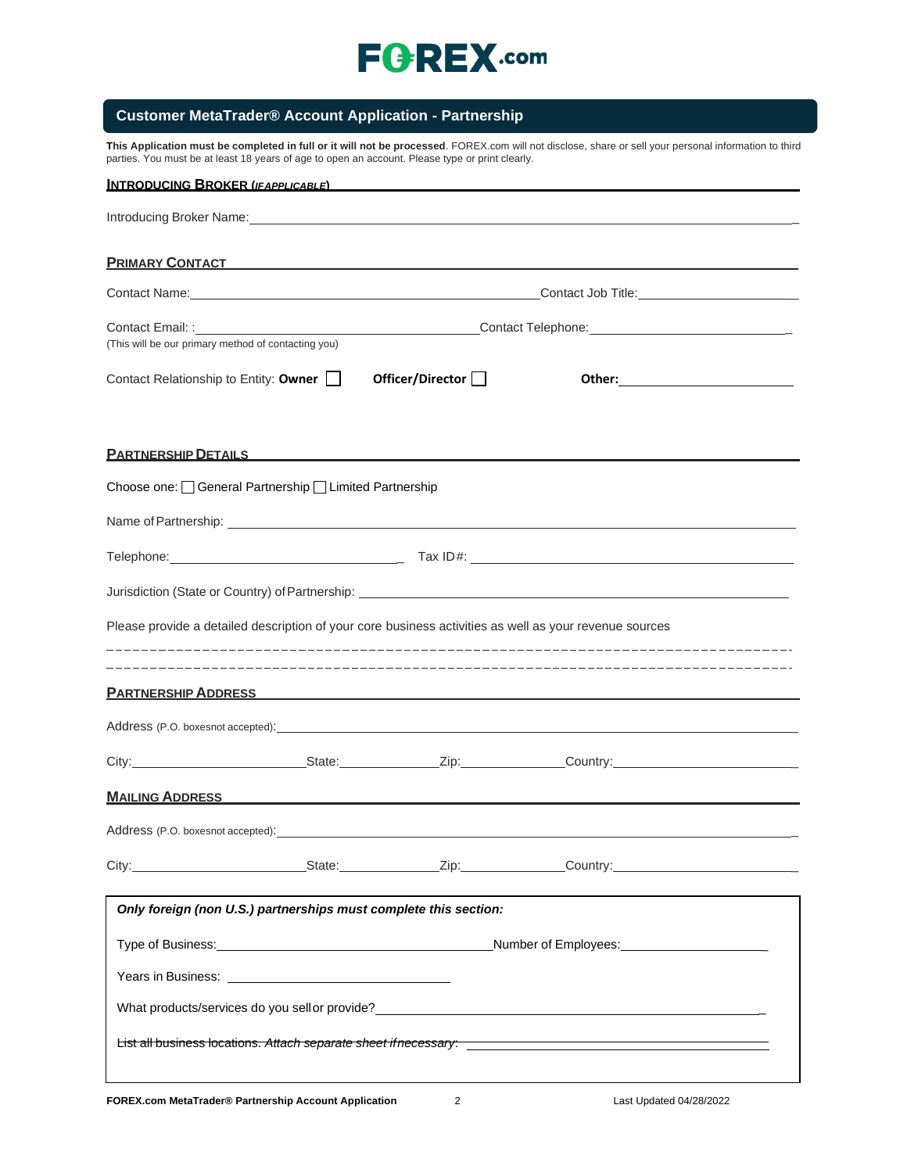

## **Customer MetaTrader® Account Application - Partnership**

**This Application must be completed in full or it will not be processed**. FOREX.com will not disclose, share or sell your personal information to third parties. You must be at least 18 years of age to open an account. Please type or print clearly.

| INTRODUCING BROKER (IFAPPLICABLE)                                                                                                                                                                                                    |                    |                                                                                                                       |                                               |
|--------------------------------------------------------------------------------------------------------------------------------------------------------------------------------------------------------------------------------------|--------------------|-----------------------------------------------------------------------------------------------------------------------|-----------------------------------------------|
|                                                                                                                                                                                                                                      |                    |                                                                                                                       |                                               |
| <b>PRIMARY CONTACT CONTACT CONTRACT CONTRACT CONTRACT CONTRACT CONTRACT CONTRACT CONTRACT CONTROL</b>                                                                                                                                |                    |                                                                                                                       |                                               |
| Contact Name: Name: Name and South Art and South Art and South Art and South Art and South Art and South Art and South Art and South Art and South Art and South Art and Art and Art and Art and Art and Art and Art and Art a       |                    |                                                                                                                       | Contact Job Title: __________________________ |
| (This will be our primary method of contacting you)                                                                                                                                                                                  |                    |                                                                                                                       |                                               |
| Contact Relationship to Entity: Owner $\Box$                                                                                                                                                                                         | Officer/Director [ |                                                                                                                       |                                               |
| <u>PARTNERSHIP DETAILS FOR A STRINGER STRINGER SHIP DETAILS FOR A STRINGER SHIP OF STRINGER STRINGER SHIP OF STRINGER STRINGER STRINGER STRINGER STRINGER STRINGER STRINGER STRINGER STRINGER STRINGER STRINGER STRINGER STRINGE</u> |                    |                                                                                                                       |                                               |
| Choose one: General Partnership Limited Partnership                                                                                                                                                                                  |                    |                                                                                                                       |                                               |
| Name of Partnership: example and a state of Partnership:                                                                                                                                                                             |                    |                                                                                                                       |                                               |
|                                                                                                                                                                                                                                      |                    |                                                                                                                       |                                               |
|                                                                                                                                                                                                                                      |                    |                                                                                                                       |                                               |
| Please provide a detailed description of your core business activities as well as your revenue sources                                                                                                                               |                    |                                                                                                                       |                                               |
| <b>PARTNERSHIP ADDRESS AND ARTICLE IN A STATE OF A STATE OF A STATE OF A STATE OF A STATE OF A STATE OF A STATE O</b>                                                                                                                |                    |                                                                                                                       |                                               |
| Address (P.O. boxesnot accepted): <u>example and a series</u> and a series of the series of the series of the series of the series of the series of the series of the series of the series of the series of the series of the serie  |                    |                                                                                                                       |                                               |
|                                                                                                                                                                                                                                      |                    |                                                                                                                       |                                               |
| <b>MAILING ADDRESS</b>                                                                                                                                                                                                               |                    | <u> 1989 - Johann Stoff, deutscher Stoff, der Stoff, der Stoff, der Stoff, der Stoff, der Stoff, der Stoff, der S</u> |                                               |
|                                                                                                                                                                                                                                      |                    |                                                                                                                       |                                               |
| City: City: State: Zip: Country:                                                                                                                                                                                                     |                    |                                                                                                                       |                                               |
| Only foreign (non U.S.) partnerships must complete this section:                                                                                                                                                                     |                    |                                                                                                                       |                                               |
|                                                                                                                                                                                                                                      |                    |                                                                                                                       |                                               |
|                                                                                                                                                                                                                                      |                    |                                                                                                                       |                                               |
| What products/services do you sell or provide?<br>What products/services do you sell or provide?                                                                                                                                     |                    |                                                                                                                       |                                               |
|                                                                                                                                                                                                                                      |                    |                                                                                                                       |                                               |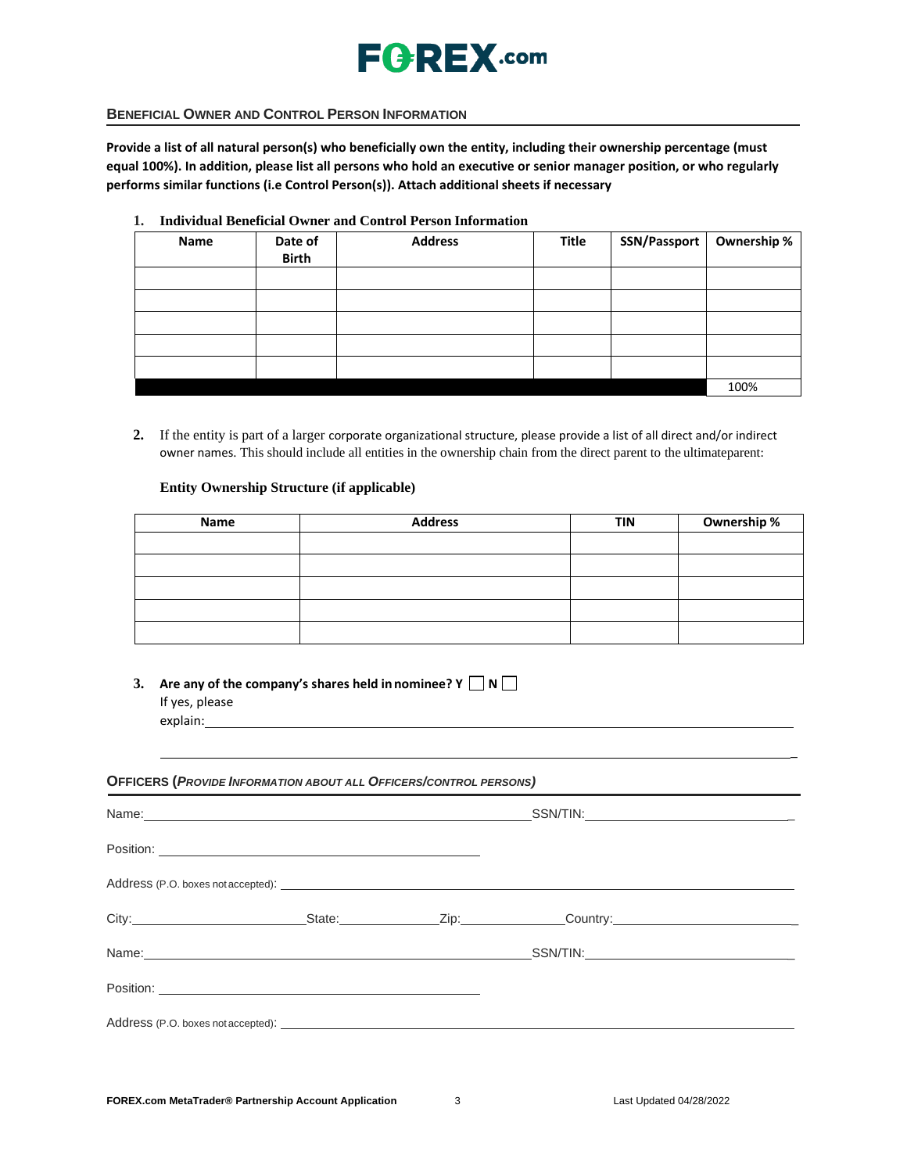

### **BENEFICIAL OWNER AND CONTROL PERSON INFORMATION**

**Provide a list of all natural person(s) who beneficially own the entity, including their ownership percentage (must equal 100%). In addition, please list all persons who hold an executive or senior manager position, or who regularly performs similar functions (i.e Control Person(s)). Attach additional sheets if necessary**

**1. Individual Beneficial Owner and Control Person Information**

| Name | Date of<br><b>Birth</b> | <b>Address</b> | Title | SSN/Passport   Ownership % |      |
|------|-------------------------|----------------|-------|----------------------------|------|
|      |                         |                |       |                            |      |
|      |                         |                |       |                            |      |
|      |                         |                |       |                            |      |
|      |                         |                |       |                            |      |
|      |                         |                |       |                            |      |
|      |                         |                |       |                            | 100% |

**2.** If the entity is part of a larger corporate organizational structure, please provide a list of all direct and/or indirect owner names. This should include all entities in the ownership chain from the direct parent to the ultimateparent:

### **Entity Ownership Structure (if applicable)**

| Name | <b>Address</b> | <b>TIN</b> | Ownership % |
|------|----------------|------------|-------------|
|      |                |            |             |
|      |                |            |             |
|      |                |            |             |
|      |                |            |             |
|      |                |            |             |

**3.** Are any of the company's shares held in nominee?  $Y \square Y \square$ If yes, please explain:

#### **OFFICERS (***PROVIDE INFORMATION ABOUT ALL OFFICERS/CONTROL PERSONS)*

| Name: Name: Name: Name: Name: Name: Name: Name: Name: Name: Name: Name: Name: Name: Name: Name: Name: Name: Name: Name: Name: Name: Name: Name: Name: Name: Name: Name: Name: Name: Name: Name: Name: Name: Name: Name: Name: |  |                                                 |
|-------------------------------------------------------------------------------------------------------------------------------------------------------------------------------------------------------------------------------|--|-------------------------------------------------|
| Position:                                                                                                                                                                                                                     |  |                                                 |
|                                                                                                                                                                                                                               |  |                                                 |
|                                                                                                                                                                                                                               |  | City: City: City: City: City: Country: Country: |
|                                                                                                                                                                                                                               |  |                                                 |
| Position:                                                                                                                                                                                                                     |  |                                                 |
|                                                                                                                                                                                                                               |  |                                                 |

\_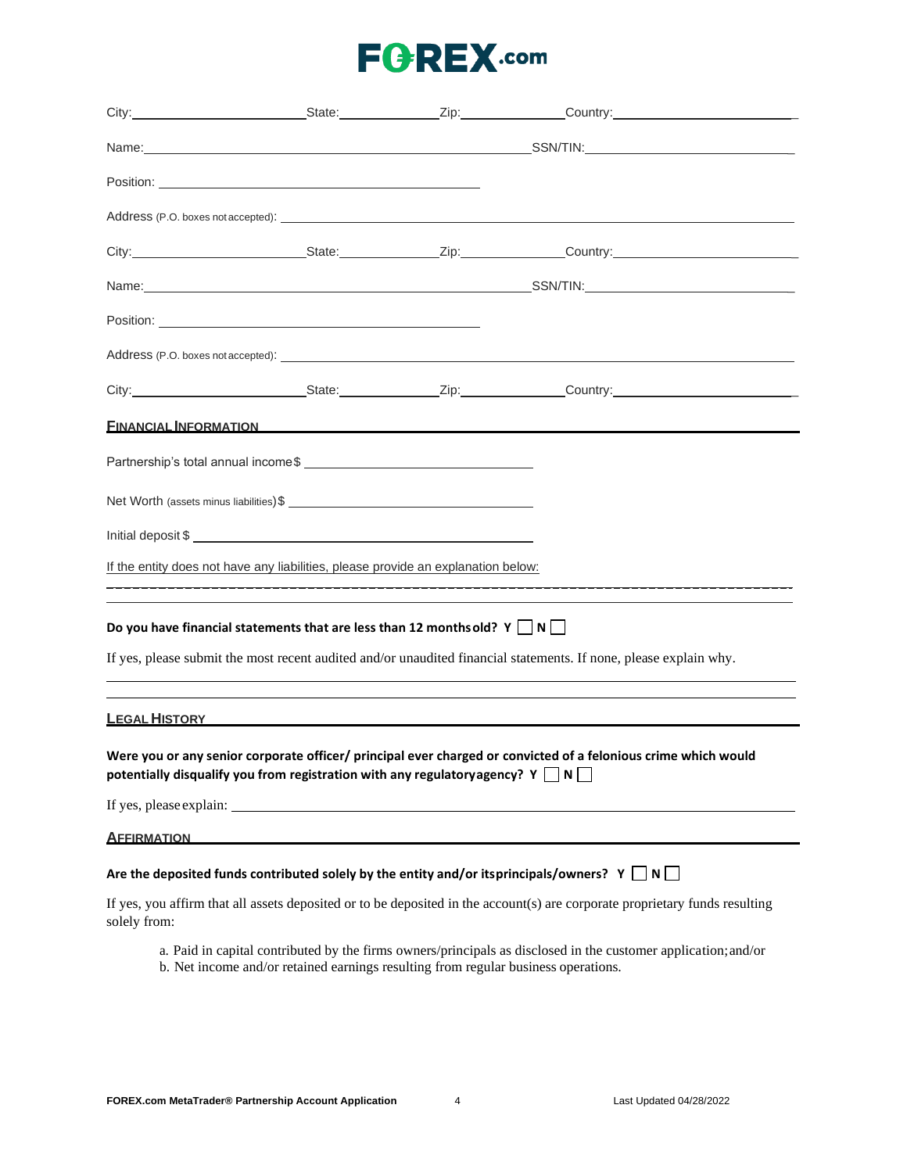|                                                                                                                                                                                                                                |  |  | Address (P.O. boxes not accepted): example and contract the contract of the contract of the contract of the contract of the contract of the contract of the contract of the contract of the contract of the contract of the co |  |
|--------------------------------------------------------------------------------------------------------------------------------------------------------------------------------------------------------------------------------|--|--|--------------------------------------------------------------------------------------------------------------------------------------------------------------------------------------------------------------------------------|--|
|                                                                                                                                                                                                                                |  |  | City: City: City: City: Culture Country: Country: Country: Country: Country: Country: Country: Country: Country: Country: Country: Country: Country: Country: Country: Country: Country: Country: Country: Country: Country: C |  |
|                                                                                                                                                                                                                                |  |  |                                                                                                                                                                                                                                |  |
|                                                                                                                                                                                                                                |  |  |                                                                                                                                                                                                                                |  |
| Address (P.O. boxes not accepted): Notice and Address (P.O. boxes not accepted): Note that the set of the set of the set of the set of the set of the set of the set of the set of the set of the set of the set of the set of |  |  |                                                                                                                                                                                                                                |  |
|                                                                                                                                                                                                                                |  |  |                                                                                                                                                                                                                                |  |
| FINANCIAL INFORMATION                                                                                                                                                                                                          |  |  |                                                                                                                                                                                                                                |  |
|                                                                                                                                                                                                                                |  |  |                                                                                                                                                                                                                                |  |
|                                                                                                                                                                                                                                |  |  |                                                                                                                                                                                                                                |  |
|                                                                                                                                                                                                                                |  |  |                                                                                                                                                                                                                                |  |
| If the entity does not have any liabilities, please provide an explanation below:                                                                                                                                              |  |  |                                                                                                                                                                                                                                |  |
|                                                                                                                                                                                                                                |  |  |                                                                                                                                                                                                                                |  |
| Do you have financial statements that are less than 12 months old? Y $\Box$ N $\Box$                                                                                                                                           |  |  |                                                                                                                                                                                                                                |  |
|                                                                                                                                                                                                                                |  |  | If yes, please submit the most recent audited and/or unaudited financial statements. If none, please explain why.                                                                                                              |  |
|                                                                                                                                                                                                                                |  |  |                                                                                                                                                                                                                                |  |
| LEGAL HISTORY AND THE RESIDENCE OF A STATE OF A STATE OF A STATE OF A STATE OF A STATE OF A STATE OF A STATE O                                                                                                                 |  |  |                                                                                                                                                                                                                                |  |
| potentially disqualify you from registration with any regulatory agency? $Y \cap N$                                                                                                                                            |  |  | Were you or any senior corporate officer/ principal ever charged or convicted of a felonious crime which would                                                                                                                 |  |
|                                                                                                                                                                                                                                |  |  |                                                                                                                                                                                                                                |  |
| <b>AFFIRMATION</b>                                                                                                                                                                                                             |  |  |                                                                                                                                                                                                                                |  |
| Are the deposited funds contributed solely by the entity and/or itsprincipals/owners? $Y \cap N$                                                                                                                               |  |  |                                                                                                                                                                                                                                |  |
| solely from:                                                                                                                                                                                                                   |  |  | If yes, you affirm that all assets deposited or to be deposited in the account(s) are corporate proprietary funds resulting                                                                                                    |  |
|                                                                                                                                                                                                                                |  |  | a. Paid in capital contributed by the firms owners/principals as disclosed in the customer application; and/or                                                                                                                 |  |

b. Net income and/or retained earnings resulting from regular business operations.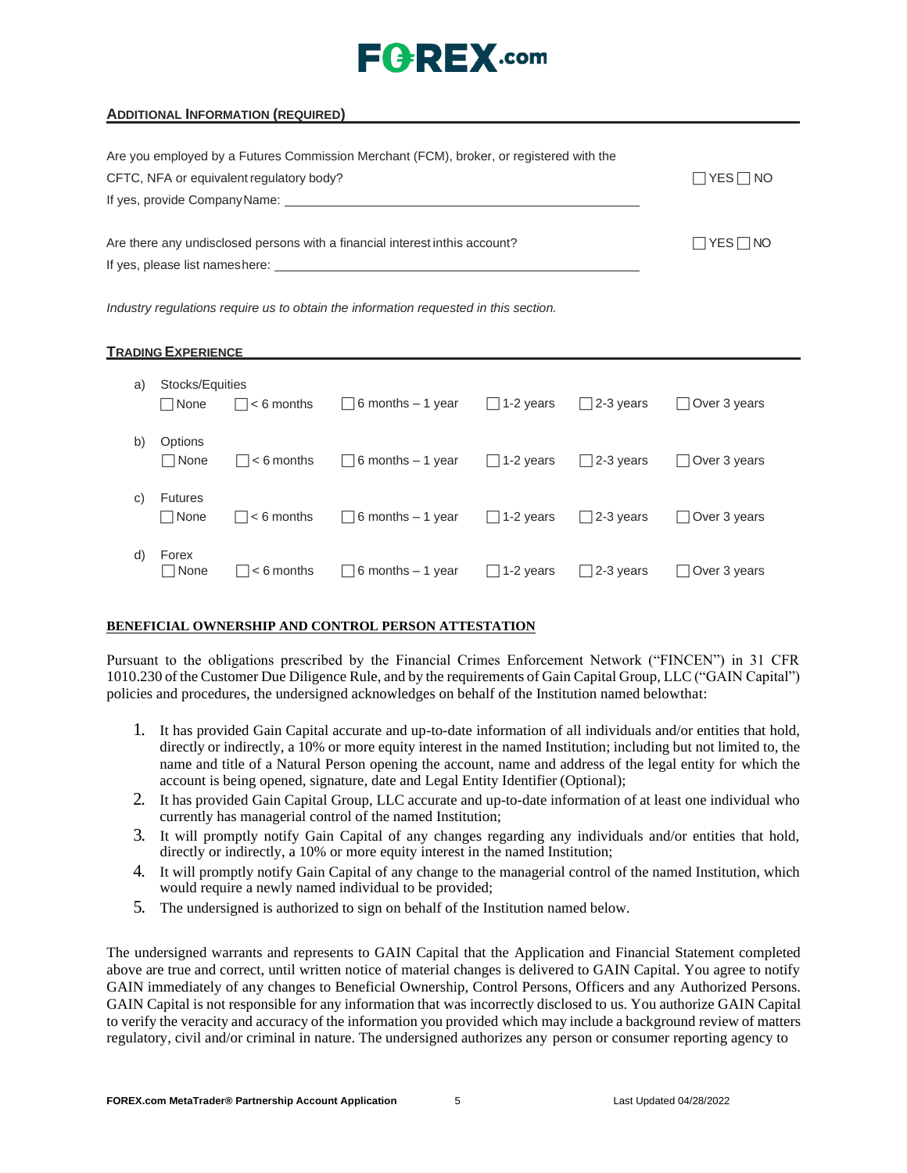# $E$ **AREX**.com

| Are you employed by a Futures Commission Merchant (FCM), broker, or registered with the                                                                                                                                        |                      |
|--------------------------------------------------------------------------------------------------------------------------------------------------------------------------------------------------------------------------------|----------------------|
| CFTC, NFA or equivalent regulatory body?                                                                                                                                                                                       | $\Box$ YES $\Box$ NO |
| If yes, provide Company Name: Name of the state of the state of the state of the state of the state of the state of the state of the state of the state of the state of the state of the state of the state of the state of th |                      |
| Are there any undisclosed persons with a financial interest inthis account?                                                                                                                                                    | $\Box$ YES $\Box$ NO |
| If yes, please list nameshere: example and the state of the state of the state of the state of the state of the state of the state of the state of the state of the state of the state of the state of the state of the state  |                      |
|                                                                                                                                                                                                                                |                      |

*Industry regulations require us to obtain the information requested in this section.*

### **TRADING EXPERIENCE**

| a) | Stocks/Equities<br> None | $ $ $ $ < 6 months         | $\Box$ 6 months – 1 year $\Box$ 1-2 years                  |                  | $\Box$ 2-3 years | Over 3 years        |
|----|--------------------------|----------------------------|------------------------------------------------------------|------------------|------------------|---------------------|
| b) | Options<br>□ None        | $\Box$ < 6 months          | $\Box$ 6 months – 1 year $\Box$ 1-2 years                  |                  | $\Box$ 2-3 years | $\Box$ Over 3 years |
| C) | <b>Futures</b><br>None   | $\vert \vert$ $<$ 6 months | $\Box$ 6 months – 1 year $\Box$ 1-2 years $\Box$ 2-3 years |                  |                  | $\Box$ Over 3 years |
| d) | Forex<br>$\sqcap$ None   | $\vert \vert$ $<$ 6 months | $\Box$ 6 months – 1 year                                   | $\Box$ 1-2 years | $\Box$ 2-3 years | $\Box$ Over 3 years |

### **BENEFICIAL OWNERSHIP AND CONTROL PERSON ATTESTATION**

Pursuant to the obligations prescribed by the Financial Crimes Enforcement Network ("FINCEN") in 31 CFR 1010.230 of the Customer Due Diligence Rule, and by the requirements of Gain Capital Group, LLC ("GAIN Capital") policies and procedures, the undersigned acknowledges on behalf of the Institution named belowthat:

- 1. It has provided Gain Capital accurate and up-to-date information of all individuals and/or entities that hold, directly or indirectly, a 10% or more equity interest in the named Institution; including but not limited to, the name and title of a Natural Person opening the account, name and address of the legal entity for which the account is being opened, signature, date and Legal Entity Identifier (Optional);
- 2. It has provided Gain Capital Group, LLC accurate and up-to-date information of at least one individual who currently has managerial control of the named Institution;
- 3. It will promptly notify Gain Capital of any changes regarding any individuals and/or entities that hold, directly or indirectly, a 10% or more equity interest in the named Institution;
- 4. It will promptly notify Gain Capital of any change to the managerial control of the named Institution, which would require a newly named individual to be provided;
- 5. The undersigned is authorized to sign on behalf of the Institution named below.

The undersigned warrants and represents to GAIN Capital that the Application and Financial Statement completed above are true and correct, until written notice of material changes is delivered to GAIN Capital. You agree to notify GAIN immediately of any changes to Beneficial Ownership, Control Persons, Officers and any Authorized Persons. GAIN Capital is not responsible for any information that was incorrectly disclosed to us. You authorize GAIN Capital to verify the veracity and accuracy of the information you provided which may include a background review of matters regulatory, civil and/or criminal in nature. The undersigned authorizes any person or consumer reporting agency to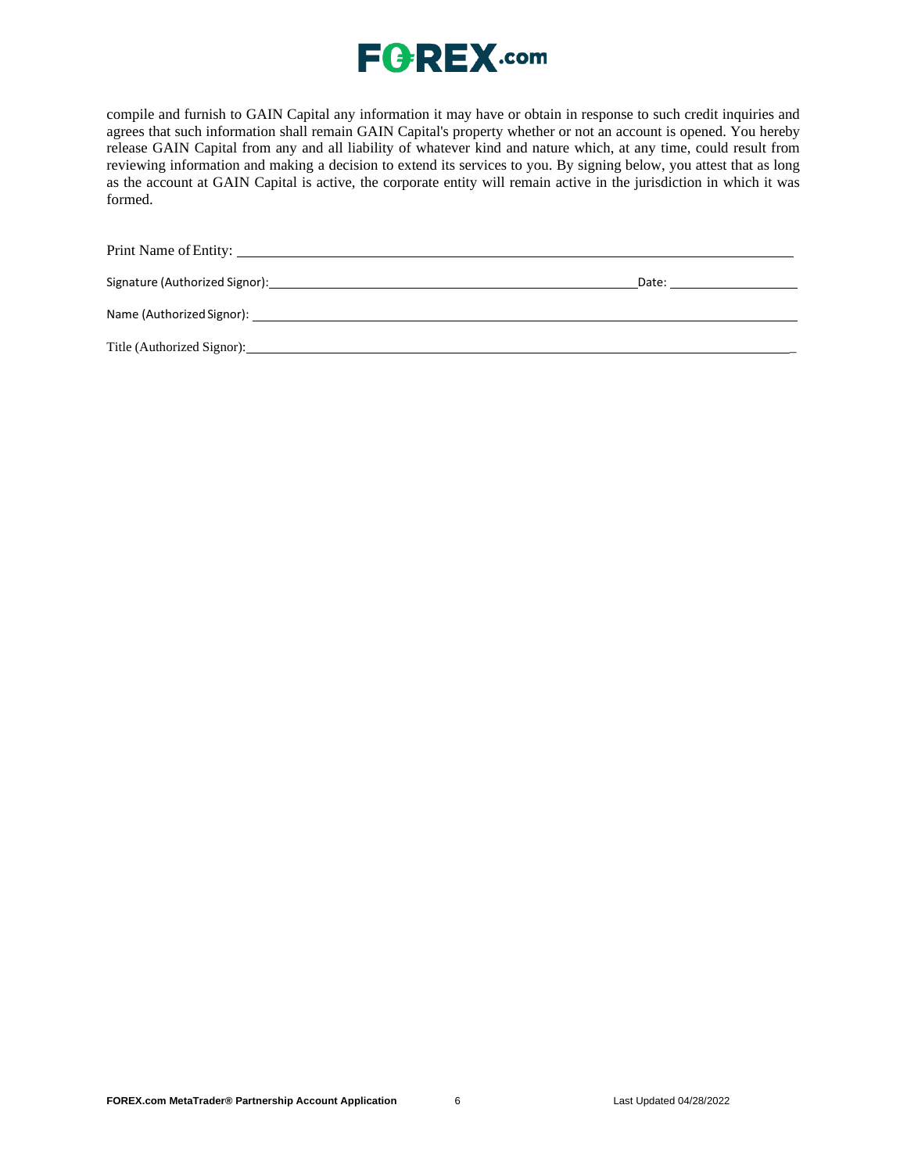

compile and furnish to GAIN Capital any information it may have or obtain in response to such credit inquiries and agrees that such information shall remain GAIN Capital's property whether or not an account is opened. You hereby release GAIN Capital from any and all liability of whatever kind and nature which, at any time, could result from reviewing information and making a decision to extend its services to you. By signing below, you attest that as long as the account at GAIN Capital is active, the corporate entity will remain active in the jurisdiction in which it was formed.

Print Name ofEntity:

Signature (Authorized Signor): Date:

Name (Authorized Signor):

Title (Authorized Signor): \_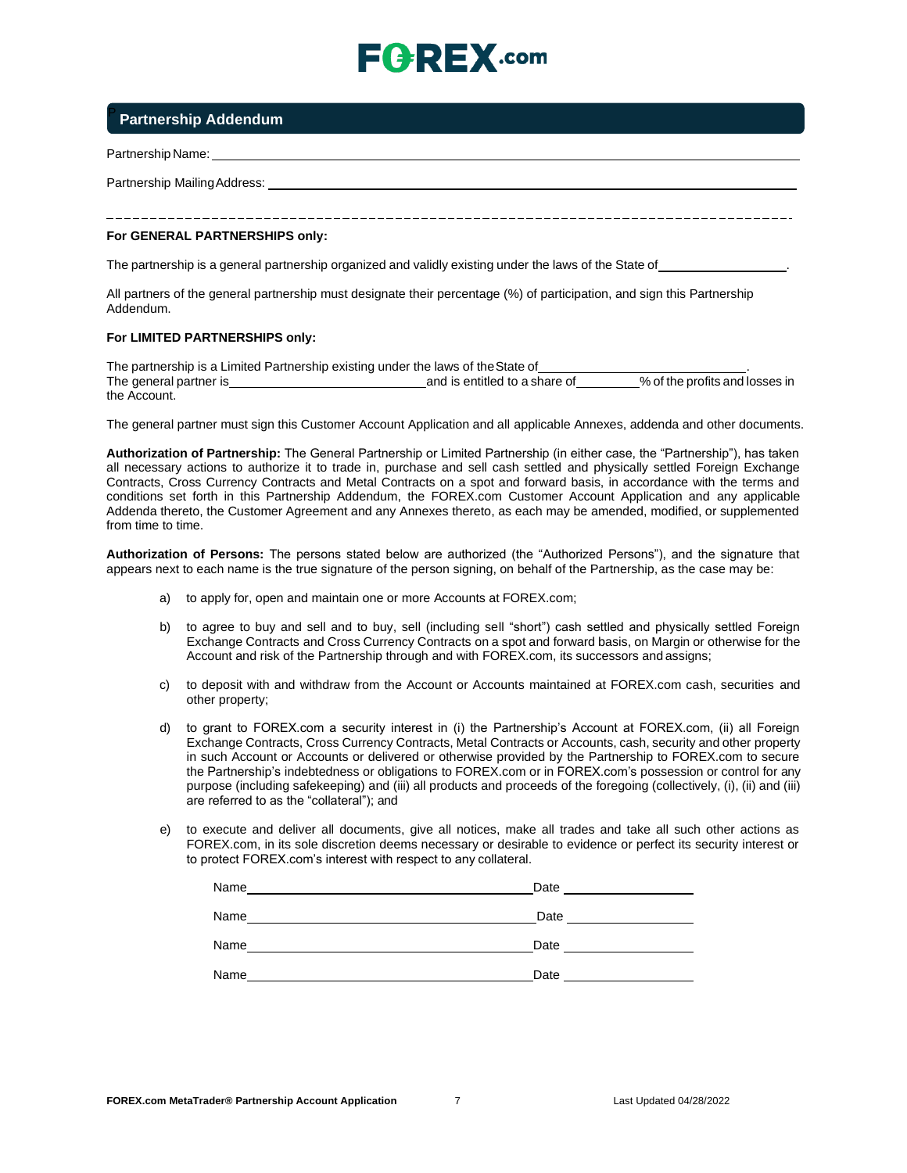# $E$   $E$   $E$   $E$   $X$  .com

### <sup>P</sup>**Partnership Addendum**

Partnership Name:

Partnership MailingAddress:

#### **For GENERAL PARTNERSHIPS only:**

The partnership is a general partnership organized and validly existing under the laws of the State of .

All partners of the general partnership must designate their percentage (%) of participation, and sign this Partnership Addendum.

#### **For LIMITED PARTNERSHIPS only:**

The partnership is a Limited Partnership existing under the laws of the State of<br>The general partner is the profits and losses in The general partner is **contain the profite and is entitled to a share of the profit and is entitled to a share of** the Account.

The general partner must sign this Customer Account Application and all applicable Annexes, addenda and other documents.

**Authorization of Partnership:** The General Partnership or Limited Partnership (in either case, the "Partnership"), has taken all necessary actions to authorize it to trade in, purchase and sell cash settled and physically settled Foreign Exchange Contracts, Cross Currency Contracts and Metal Contracts on a spot and forward basis, in accordance with the terms and conditions set forth in this Partnership Addendum, the FOREX.com Customer Account Application and any applicable Addenda thereto, the Customer Agreement and any Annexes thereto, as each may be amended, modified, or supplemented from time to time.

**Authorization of Persons:** The persons stated below are authorized (the "Authorized Persons"), and the signature that appears next to each name is the true signature of the person signing, on behalf of the Partnership, as the case may be:

- a) to apply for, open and maintain one or more Accounts at FOREX.com;
- b) to agree to buy and sell and to buy, sell (including sell "short") cash settled and physically settled Foreign Exchange Contracts and Cross Currency Contracts on a spot and forward basis, on Margin or otherwise for the Account and risk of the Partnership through and with FOREX.com, its successors and assigns;
- c) to deposit with and withdraw from the Account or Accounts maintained at FOREX.com cash, securities and other property;
- d) to grant to FOREX.com a security interest in (i) the Partnership's Account at FOREX.com, (ii) all Foreign Exchange Contracts, Cross Currency Contracts, Metal Contracts or Accounts, cash, security and other property in such Account or Accounts or delivered or otherwise provided by the Partnership to FOREX.com to secure the Partnership's indebtedness or obligations to FOREX.com or in FOREX.com's possession or control for any purpose (including safekeeping) and (iii) all products and proceeds of the foregoing (collectively, (i), (ii) and (iii) are referred to as the "collateral"); and
- e) to execute and deliver all documents, give all notices, make all trades and take all such other actions as FOREX.com, in its sole discretion deems necessary or desirable to evidence or perfect its security interest or to protect FOREX.com's interest with respect to any collateral.

| Name | Date |
|------|------|
| Name | Date |
| Name | Date |
| Name | Date |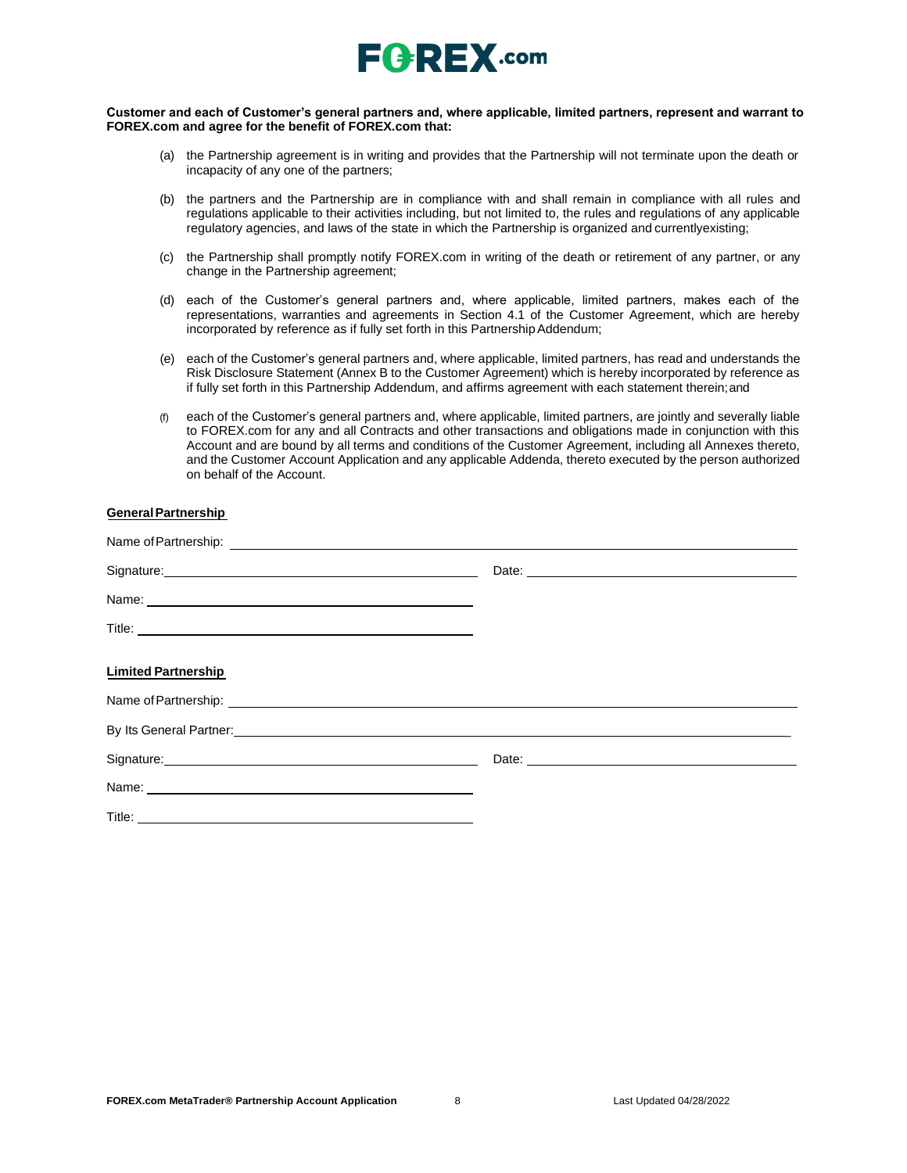

#### **Customer and each of Customer's general partners and, where applicable, limited partners, represent and warrant to FOREX.com and agree for the benefit of FOREX.com that:**

- (a) the Partnership agreement is in writing and provides that the Partnership will not terminate upon the death or incapacity of any one of the partners;
- (b) the partners and the Partnership are in compliance with and shall remain in compliance with all rules and regulations applicable to their activities including, but not limited to, the rules and regulations of any applicable regulatory agencies, and laws of the state in which the Partnership is organized and currentlyexisting;
- (c) the Partnership shall promptly notify FOREX.com in writing of the death or retirement of any partner, or any change in the Partnership agreement;
- (d) each of the Customer's general partners and, where applicable, limited partners, makes each of the representations, warranties and agreements in Section 4.1 of the Customer Agreement, which are hereby incorporated by reference as if fully set forth in this Partnership Addendum;
- (e) each of the Customer's general partners and, where applicable, limited partners, has read and understands the Risk Disclosure Statement (Annex B to the Customer Agreement) which is hereby incorporated by reference as if fully set forth in this Partnership Addendum, and affirms agreement with each statement therein;and
- (f) each of the Customer's general partners and, where applicable, limited partners, are jointly and severally liable to FOREX.com for any and all Contracts and other transactions and obligations made in conjunction with this Account and are bound by all terms and conditions of the Customer Agreement, including all Annexes thereto, and the Customer Account Application and any applicable Addenda, thereto executed by the person authorized on behalf of the Account.

### **GeneralPartnership**

| Signature: <u>Communications</u>                                                                                                                                                                                                    |  |
|-------------------------------------------------------------------------------------------------------------------------------------------------------------------------------------------------------------------------------------|--|
|                                                                                                                                                                                                                                     |  |
|                                                                                                                                                                                                                                     |  |
| <b>Limited Partnership</b>                                                                                                                                                                                                          |  |
|                                                                                                                                                                                                                                     |  |
| By Its General Partner: <b>Example 2018</b> 2019 12:30 20:30 20:30 20:30 20:30 20:30 20:30 20:30 20:30 20:30 20:30 20:30 20:30 20:30 20:30 20:30 20:30 20:30 20:30 20:30 20:30 20:30 20:30 20:30 20:30 20:30 20:30 20:30 20:30 20:3 |  |
|                                                                                                                                                                                                                                     |  |
|                                                                                                                                                                                                                                     |  |
|                                                                                                                                                                                                                                     |  |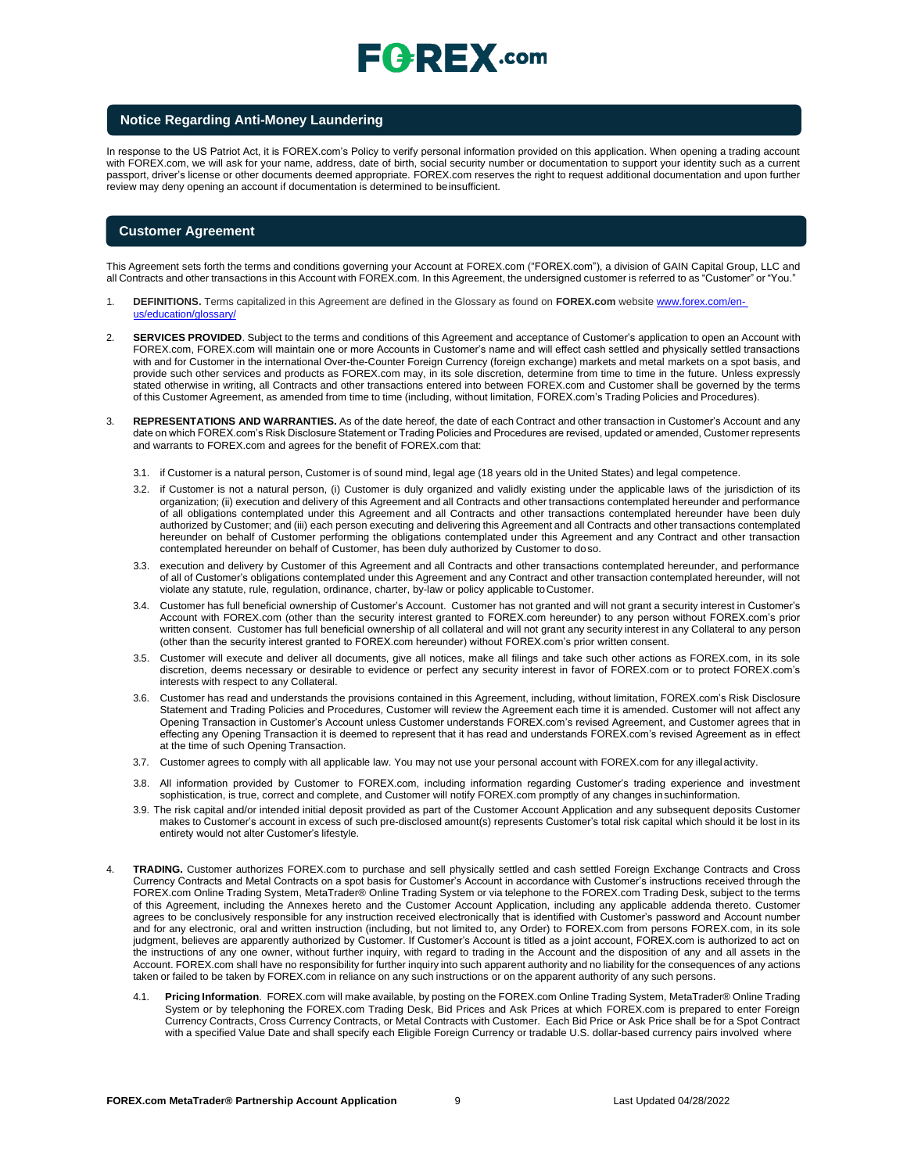# $E$   $R$   $E$   $X$  .com

#### **Notice Regarding Anti-Money Laundering**

In response to the US Patriot Act, it is FOREX.com's Policy to verify personal information provided on this application. When opening a trading account with FOREX.com, we will ask for your name, address, date of birth, social security number or documentation to support your identity such as a current passport, driver's license or other documents deemed appropriate. FOREX.com reserves the right to request additional documentation and upon further review may deny opening an account if documentation is determined to beinsufficient.

#### **Customer Agreement**

This Agreement sets forth the terms and conditions governing your Account at FOREX.com ("FOREX.com"), a division of GAIN Capital Group, LLC and all Contracts and other transactions in this Account with FOREX.com. In this Agreement, the undersigned customer is referred to as "Customer" or "You."

- 1. **DEFINITIONS.** Terms capitalized in this Agreement are defined in the Glossary as found on **FOREX.com** website [www.forex.com/en](http://www.forex.com/en-us/education/glossary/)[us/education/glossary/](http://www.forex.com/en-us/education/glossary/)
- 2. **SERVICES PROVIDED**. Subject to the terms and conditions of this Agreement and acceptance of Customer's application to open an Account with FOREX.com, FOREX.com will maintain one or more Accounts in Customer's name and will effect cash settled and physically settled transactions with and for Customer in the international Over-the-Counter Foreign Currency (foreign exchange) markets and metal markets on a spot basis, and provide such other services and products as FOREX.com may, in its sole discretion, determine from time to time in the future. Unless expressly stated otherwise in writing, all Contracts and other transactions entered into between FOREX.com and Customer shall be governed by the terms of this Customer Agreement, as amended from time to time (including, without limitation, FOREX.com's Trading Policies and Procedures).
- 3. **REPRESENTATIONS AND WARRANTIES.** As of the date hereof, the date of each Contract and other transaction in Customer's Account and any date on which FOREX.com's Risk Disclosure Statement or Trading Policies and Procedures are revised, updated or amended, Customer represents and warrants to FOREX.com and agrees for the benefit of FOREX.com that:
	- 3.1. if Customer is a natural person, Customer is of sound mind, legal age (18 years old in the United States) and legal competence.
	- 3.2. if Customer is not a natural person, (i) Customer is duly organized and validly existing under the applicable laws of the jurisdiction of its organization; (ii) execution and delivery of this Agreement and all Contracts and other transactions contemplated hereunder and performance of all obligations contemplated under this Agreement and all Contracts and other transactions contemplated hereunder have been duly authorized by Customer; and (iii) each person executing and delivering this Agreement and all Contracts and other transactions contemplated hereunder on behalf of Customer performing the obligations contemplated under this Agreement and any Contract and other transaction contemplated hereunder on behalf of Customer, has been duly authorized by Customer to doso.
	- 3.3. execution and delivery by Customer of this Agreement and all Contracts and other transactions contemplated hereunder, and performance of all of Customer's obligations contemplated under this Agreement and any Contract and other transaction contemplated hereunder, will not violate any statute, rule, regulation, ordinance, charter, by-law or policy applicable toCustomer.
	- 3.4. Customer has full beneficial ownership of Customer's Account. Customer has not granted and will not grant a security interest in Customer's Account with FOREX.com (other than the security interest granted to FOREX.com hereunder) to any person without FOREX.com's prior written consent. Customer has full beneficial ownership of all collateral and will not grant any security interest in any Collateral to any person (other than the security interest granted to FOREX.com hereunder) without FOREX.com's prior written consent.
	- 3.5. Customer will execute and deliver all documents, give all notices, make all filings and take such other actions as FOREX.com, in its sole discretion, deems necessary or desirable to evidence or perfect any security interest in favor of FOREX.com or to protect FOREX.com's interests with respect to any Collateral.
	- 3.6. Customer has read and understands the provisions contained in this Agreement, including, without limitation, FOREX.com's Risk Disclosure Statement and Trading Policies and Procedures, Customer will review the Agreement each time it is amended. Customer will not affect any Opening Transaction in Customer's Account unless Customer understands FOREX.com's revised Agreement, and Customer agrees that in effecting any Opening Transaction it is deemed to represent that it has read and understands FOREX.com's revised Agreement as in effect at the time of such Opening Transaction.
	- 3.7. Customer agrees to comply with all applicable law. You may not use your personal account with FOREX.com for any illegal activity.
	- 3.8. All information provided by Customer to FOREX.com, including information regarding Customer's trading experience and investment sophistication, is true, correct and complete, and Customer will notify FOREX.com promptly of any changes insuchinformation.
	- 3.9. The risk capital and/or intended initial deposit provided as part of the Customer Account Application and any subsequent deposits Customer makes to Customer's account in excess of such pre-disclosed amount(s) represents Customer's total risk capital which should it be lost in its entirety would not alter Customer's lifestyle.
- 4. **TRADING.** Customer authorizes FOREX.com to purchase and sell physically settled and cash settled Foreign Exchange Contracts and Cross Currency Contracts and Metal Contracts on a spot basis for Customer's Account in accordance with Customer's instructions received through the FOREX.com Online Trading System, MetaTrader® Online Trading System or via telephone to the FOREX.com Trading Desk, subject to the terms of this Agreement, including the Annexes hereto and the Customer Account Application, including any applicable addenda thereto. Customer agrees to be conclusively responsible for any instruction received electronically that is identified with Customer's password and Account number and for any electronic, oral and written instruction (including, but not limited to, any Order) to FOREX.com from persons FOREX.com, in its sole judgment, believes are apparently authorized by Customer. If Customer's Account is titled as a joint account, FOREX.com is authorized to act on the instructions of any one owner, without further inquiry, with regard to trading in the Account and the disposition of any and all assets in the Account. FOREX.com shall have no responsibility for further inquiry into such apparent authority and no liability for the consequences of any actions taken or failed to be taken by FOREX.com in reliance on any such instructions or on the apparent authority of any such persons.
	- 4.1. **Pricing Information**. FOREX.com will make available, by posting on the FOREX.com Online Trading System, MetaTrader® Online Trading System or by telephoning the FOREX.com Trading Desk, Bid Prices and Ask Prices at which FOREX.com is prepared to enter Foreign Currency Contracts, Cross Currency Contracts, or Metal Contracts with Customer. Each Bid Price or Ask Price shall be for a Spot Contract with a specified Value Date and shall specify each Eligible Foreign Currency or tradable U.S. dollar-based currency pairs involved where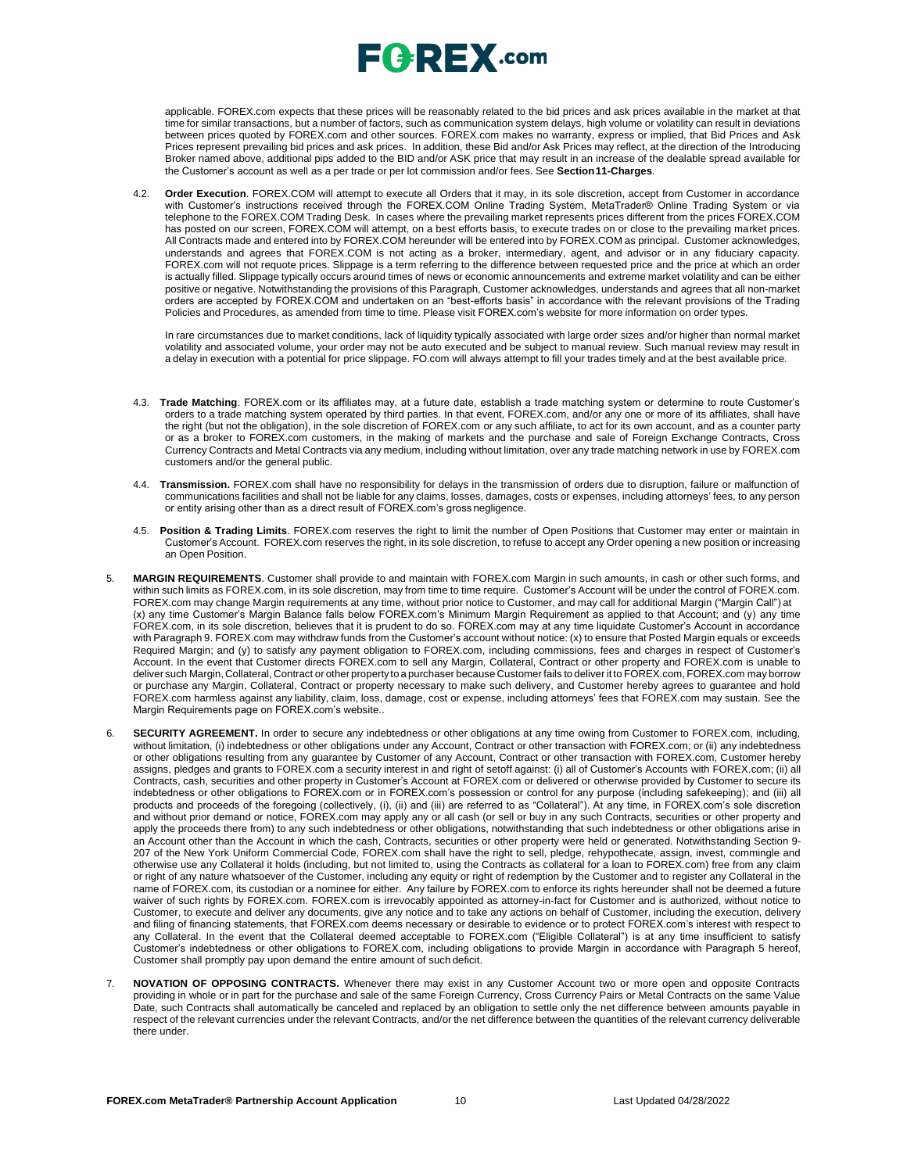applicable. FOREX.com expects that these prices will be reasonably related to the bid prices and ask prices available in the market at that time for similar transactions, but a number of factors, such as communication system delays, high volume or volatility can result in deviations between prices quoted by FOREX.com and other sources. FOREX.com makes no warranty, express or implied, that Bid Prices and Ask Prices represent prevailing bid prices and ask prices. In addition, these Bid and/or Ask Prices may reflect, at the direction of the Introducing Broker named above, additional pips added to the BID and/or ASK price that may result in an increase of the dealable spread available for the Customer's account as well as a per trade or per lot commission and/or fees. See **Section11-Charges**.

4.2. **Order Execution**. FOREX.COM will attempt to execute all Orders that it may, in its sole discretion, accept from Customer in accordance with Customer's instructions received through the FOREX.COM Online Trading System, MetaTrader® Online Trading System or via telephone to the FOREX.COM Trading Desk. In cases where the prevailing market represents prices different from the prices FOREX.COM has posted on our screen, FOREX.COM will attempt, on a best efforts basis, to execute trades on or close to the prevailing market prices. All Contracts made and entered into by FOREX.COM hereunder will be entered into by FOREX.COM as principal. Customer acknowledges, understands and agrees that FOREX.COM is not acting as a broker, intermediary, agent, and advisor or in any fiduciary capacity. FOREX.com will not requote prices. Slippage is a term referring to the difference between requested price and the price at which an order is actually filled. Slippage typically occurs around times of news or economic announcements and extreme market volatility and can be either positive or negative. Notwithstanding the provisions of this Paragraph, Customer acknowledges, understands and agrees that all non-market orders are accepted by FOREX.COM and undertaken on an "best-efforts basis" in accordance with the relevant provisions of the Trading Policies and Procedures, as amended from time to time. Please visit FOREX.com's website for more information on order types.

In rare circumstances due to market conditions, lack of liquidity typically associated with large order sizes and/or higher than normal market volatility and associated volume, your order may not be auto executed and be subject to manual review. Such manual review may result in a delay in execution with a potential for price slippage. [FO.com w](http://forex.com/)ill always attempt to fill your trades timely and at the best available price.

- 4.3. **Trade Matching**. FOREX.com or its affiliates may, at a future date, establish a trade matching system or determine to route Customer's orders to a trade matching system operated by third parties. In that event, FOREX.com, and/or any one or more of its affiliates, shall have the right (but not the obligation), in the sole discretion of FOREX.com or any such affiliate, to act for its own account, and as a counter party or as a broker to FOREX.com customers, in the making of markets and the purchase and sale of Foreign Exchange Contracts, Cross Currency Contracts and Metal Contracts via any medium, including without limitation, over any trade matching network in use by FOREX.com customers and/or the general public.
- 4.4. **Transmission.** FOREX.com shall have no responsibility for delays in the transmission of orders due to disruption, failure or malfunction of communications facilities and shall not be liable for any claims, losses, damages, costs or expenses, including attorneys' fees, to any person or entity arising other than as a direct result of FOREX.com's gross negligence.
- 4.5. **Position & Trading Limits**. FOREX.com reserves the right to limit the number of Open Positions that Customer may enter or maintain in Customer's Account. FOREX.com reserves the right, in its sole discretion, to refuse to accept any Order opening a new position or increasing an Open Position.
- 5. **MARGIN REQUIREMENTS**. Customer shall provide to and maintain with FOREX.com Margin in such amounts, in cash or other such forms, and within such limits as FOREX.com, in its sole discretion, may from time to time require. Customer's Account will be under the control of FOREX.com. FOREX.com may change Margin requirements at any time, without prior notice to Customer, and may call for additional Margin ("Margin Call") at (x) any time Customer's Margin Balance falls below FOREX.com's Minimum Margin Requirement as applied to that Account; and (y) any time FOREX.com, in its sole discretion, believes that it is prudent to do so. FOREX.com may at any time liquidate Customer's Account in accordance with Paragraph 9. FOREX.com may withdraw funds from the Customer's account without notice: (x) to ensure that Posted Margin equals or exceeds Required Margin; and (y) to satisfy any payment obligation to FOREX.com, including commissions, fees and charges in respect of Customer's Account. In the event that Customer directs FOREX.com to sell any Margin, Collateral, Contract or other property and FOREX.com is unable to deliver such Margin, Collateral, Contract or other propertyto a purchaser because Customer fails to deliver it to FOREX.com, FOREX.com may borrow or purchase any Margin, Collateral, Contract or property necessary to make such delivery, and Customer hereby agrees to guarantee and hold FOREX.com harmless against any liability, claim, loss, damage, cost or expense, including attorneys' fees that FOREX.com may sustain. See the Margin Requirements page on FOREX.com's website..
- 6. **SECURITY AGREEMENT.** In order to secure any indebtedness or other obligations at any time owing from Customer to FOREX.com, including, without limitation, (i) indebtedness or other obligations under any Account, Contract or other transaction with FOREX.com; or (ii) any indebtedness or other obligations resulting from any guarantee by Customer of any Account, Contract or other transaction with FOREX.com, Customer hereby assigns, pledges and grants to FOREX.com a security interest in and right of setoff against: (i) all of Customer's Accounts with FOREX.com; (ii) all Contracts, cash, securities and other property in Customer's Account at FOREX.com or delivered or otherwise provided by Customer to secure its indebtedness or other obligations to FOREX.com or in FOREX.com's possession or control for any purpose (including safekeeping); and (iii) all products and proceeds of the foregoing (collectively, (i), (ii) and (iii) are referred to as "Collateral"). At any time, in FOREX.com's sole discretion and without prior demand or notice, FOREX.com may apply any or all cash (or sell or buy in any such Contracts, securities or other property and apply the proceeds there from) to any such indebtedness or other obligations, notwithstanding that such indebtedness or other obligations arise in an Account other than the Account in which the cash, Contracts, securities or other property were held or generated. Notwithstanding Section 9- 207 of the New York Uniform Commercial Code, FOREX.com shall have the right to sell, pledge, rehypothecate, assign, invest, commingle and otherwise use any Collateral it holds (including, but not limited to, using the Contracts as collateral for a loan to FOREX.com) free from any claim or right of any nature whatsoever of the Customer, including any equity or right of redemption by the Customer and to register any Collateral in the name of FOREX.com, its custodian or a nominee for either. Any failure by FOREX.com to enforce its rights hereunder shall not be deemed a future waiver of such rights by FOREX.com. FOREX.com is irrevocably appointed as attorney-in-fact for Customer and is authorized, without notice to Customer, to execute and deliver any documents, give any notice and to take any actions on behalf of Customer, including the execution, delivery and filing of financing statements, that FOREX.com deems necessary or desirable to evidence or to protect FOREX.com's interest with respect to any Collateral. In the event that the Collateral deemed acceptable to FOREX.com ("Eligible Collateral") is at any time insufficient to satisfy Customer's indebtedness or other obligations to FOREX.com, including obligations to provide Margin in accordance with Paragraph 5 hereof, Customer shall promptly pay upon demand the entire amount of such deficit.
- 7. **NOVATION OF OPPOSING CONTRACTS.** Whenever there may exist in any Customer Account two or more open and opposite Contracts providing in whole or in part for the purchase and sale of the same Foreign Currency, Cross Currency Pairs or Metal Contracts on the same Value Date, such Contracts shall automatically be canceled and replaced by an obligation to settle only the net difference between amounts payable in respect of the relevant currencies under the relevant Contracts, and/or the net difference between the quantities of the relevant currency deliverable there under.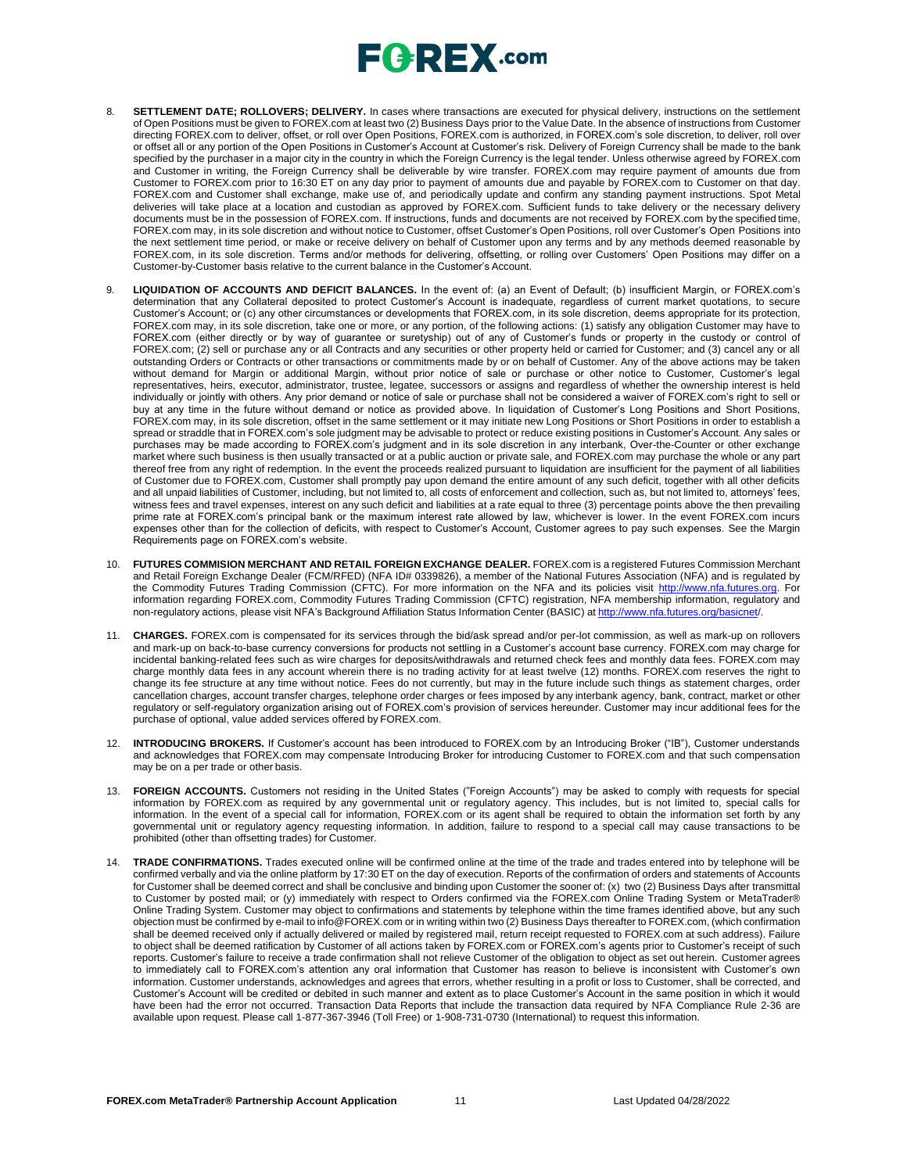- 8. **SETTLEMENT DATE; ROLLOVERS; DELIVERY.** In cases where transactions are executed for physical delivery, instructions on the settlement of Open Positions must be given to FOREX.com at least two (2) Business Days prior to the Value Date. In the absence of instructions from Customer directing FOREX.com to deliver, offset, or roll over Open Positions, FOREX.com is authorized, in FOREX.com's sole discretion, to deliver, roll over or offset all or any portion of the Open Positions in Customer's Account at Customer's risk. Delivery of Foreign Currency shall be made to the bank specified by the purchaser in a major city in the country in which the Foreign Currency is the legal tender. Unless otherwise agreed by FOREX.com and Customer in writing, the Foreign Currency shall be deliverable by wire transfer. FOREX.com may require payment of amounts due from Customer to FOREX.com prior to 16:30 ET on any day prior to payment of amounts due and payable by FOREX.com to Customer on that day. FOREX.com and Customer shall exchange, make use of, and periodically update and confirm any standing payment instructions. Spot Metal deliveries will take place at a location and custodian as approved by FOREX.com. Sufficient funds to take delivery or the necessary delivery documents must be in the possession of FOREX.com. If instructions, funds and documents are not received by FOREX.com by the specified time, FOREX.com may, in its sole discretion and without notice to Customer, offset Customer's Open Positions, roll over Customer's Open Positions into the next settlement time period, or make or receive delivery on behalf of Customer upon any terms and by any methods deemed reasonable by FOREX.com, in its sole discretion. Terms and/or methods for delivering, offsetting, or rolling over Customers' Open Positions may differ on a Customer-by-Customer basis relative to the current balance in the Customer's Account.
- 9. **LIQUIDATION OF ACCOUNTS AND DEFICIT BALANCES.** In the event of: (a) an Event of Default; (b) insufficient Margin, or FOREX.com's determination that any Collateral deposited to protect Customer's Account is inadequate, regardless of current market quotations, to secure Customer's Account; or (c) any other circumstances or developments that FOREX.com, in its sole discretion, deems appropriate for its protection, FOREX.com may, in its sole discretion, take one or more, or any portion, of the following actions: (1) satisfy any obligation Customer may have to FOREX.com (either directly or by way of guarantee or suretyship) out of any of Customer's funds or property in the custody or control of FOREX.com; (2) sell or purchase any or all Contracts and any securities or other property held or carried for Customer; and (3) cancel any or all outstanding Orders or Contracts or other transactions or commitments made by or on behalf of Customer. Any of the above actions may be taken without demand for Margin or additional Margin, without prior notice of sale or purchase or other notice to Customer, Customer's legal representatives, heirs, executor, administrator, trustee, legatee, successors or assigns and regardless of whether the ownership interest is held individually or jointly with others. Any prior demand or notice of sale or purchase shall not be considered a waiver of FOREX.com's right to sell or buy at any time in the future without demand or notice as provided above. In liquidation of Customer's Long Positions and Short Positions, FOREX.com may, in its sole discretion, offset in the same settlement or it may initiate new Long Positions or Short Positions in order to establish a spread or straddle that in FOREX.com's sole judgment may be advisable to protect or reduce existing positions in Customer's Account. Any sales or purchases may be made according to FOREX.com's judgment and in its sole discretion in any interbank, Over-the-Counter or other exchange market where such business is then usually transacted or at a public auction or private sale, and FOREX.com may purchase the whole or any part thereof free from any right of redemption. In the event the proceeds realized pursuant to liquidation are insufficient for the payment of all liabilities of Customer due to FOREX.com, Customer shall promptly pay upon demand the entire amount of any such deficit, together with all other deficits and all unpaid liabilities of Customer, including, but not limited to, all costs of enforcement and collection, such as, but not limited to, attorneys' fees, witness fees and travel expenses, interest on any such deficit and liabilities at a rate equal to three (3) percentage points above the then prevailing prime rate at FOREX.com's principal bank or the maximum interest rate allowed by law, whichever is lower. In the event FOREX.com incurs expenses other than for the collection of deficits, with respect to Customer's Account, Customer agrees to pay such expenses. See the Margin Requirements page on FOREX.com's website.
- 10. **FUTURES COMMISION MERCHANT AND RETAIL FOREIGN EXCHANGE DEALER.** FOREX.com is a registered Futures Commission Merchant and Retail Foreign Exchange Dealer (FCM/RFED) (NFA ID# 0339826), a member of the National Futures Association (NFA) and is regulated by the Commodity Futures Trading Commission (CFTC). For more information on the NFA and its policies visit [http://www.nfa.futures.org.](http://www.nfa.futures.org/) For information regarding FOREX.com, Commodity Futures Trading Commission (CFTC) registration, NFA membership information, regulatory and non-regulatory actions, please visit NFA's Background Affiliation Status Information Center (BASIC) at [http://www.nfa.futures.org/basicnet/.](http://www.nfa.futures.org/basicnet/)
- 11. **CHARGES.** FOREX.com is compensated for its services through the bid/ask spread and/or per-lot commission, as well as mark-up on rollovers and mark-up on back-to-base currency conversions for products not settling in a Customer's account base currency. FOREX.com may charge for incidental banking-related fees such as wire charges for deposits/withdrawals and returned check fees and monthly data fees. FOREX.com may charge monthly data fees in any account wherein there is no trading activity for at least twelve (12) months. FOREX.com reserves the right to change its fee structure at any time without notice. Fees do not currently, but may in the future include such things as statement charges, order cancellation charges, account transfer charges, telephone order charges or fees imposed by any interbank agency, bank, contract, market or other regulatory or self-regulatory organization arising out of FOREX.com's provision of services hereunder. Customer may incur additional fees for the purchase of optional, value added services offered by FOREX.com.
- 12. **INTRODUCING BROKERS.** If Customer's account has been introduced to FOREX.com by an Introducing Broker ("IB"), Customer understands and acknowledges that FOREX.com may compensate Introducing Broker for introducing Customer to FOREX.com and that such compensation may be on a per trade or other basis.
- 13. **FOREIGN ACCOUNTS.** Customers not residing in the United States ("Foreign Accounts") may be asked to comply with requests for special information by FOREX.com as required by any governmental unit or regulatory agency. This includes, but is not limited to, special calls for information. In the event of a special call for information, FOREX.com or its agent shall be required to obtain the information set forth by any governmental unit or regulatory agency requesting information. In addition, failure to respond to a special call may cause transactions to be prohibited (other than offsetting trades) for Customer.
- 14. **TRADE CONFIRMATIONS.** Trades executed online will be confirmed online at the time of the trade and trades entered into by telephone will be confirmed verbally and via the online platform by 17:30 ET on the day of execution. Reports of the confirmation of orders and statements of Accounts for Customer shall be deemed correct and shall be conclusive and binding upon Customer the sooner of: (x) two (2) Business Days after transmittal to Customer by posted mail; or (y) immediately with respect to Orders confirmed via the FOREX.com Online Trading System or MetaTrader® Online Trading System. Customer may object to confirmations and statements by telephone within the time frames identified above, but any such objection must be confirmed by e-mail to [info@FOREX.com](mailto:info@FOREX.com) or in writing within two (2) Business Days thereafter to FOREX.com, (which confirmation shall be deemed received only if actually delivered or mailed by registered mail, return receipt requested to FOREX.com at such address). Failure to object shall be deemed ratification by Customer of all actions taken by FOREX.com or FOREX.com's agents prior to Customer's receipt of such reports. Customer's failure to receive a trade confirmation shall not relieve Customer of the obligation to object as set out herein. Customer agrees to immediately call to FOREX.com's attention any oral information that Customer has reason to believe is inconsistent with Customer's own information. Customer understands, acknowledges and agrees that errors, whether resulting in a profit or loss to Customer, shall be corrected, and Customer's Account will be credited or debited in such manner and extent as to place Customer's Account in the same position in which it would have been had the error not occurred. Transaction Data Reports that include the transaction data required by NFA Compliance Rule 2-36 are available upon request. Please call 1-877-367-3946 (Toll Free) or 1-908-731-0730 (International) to request this information.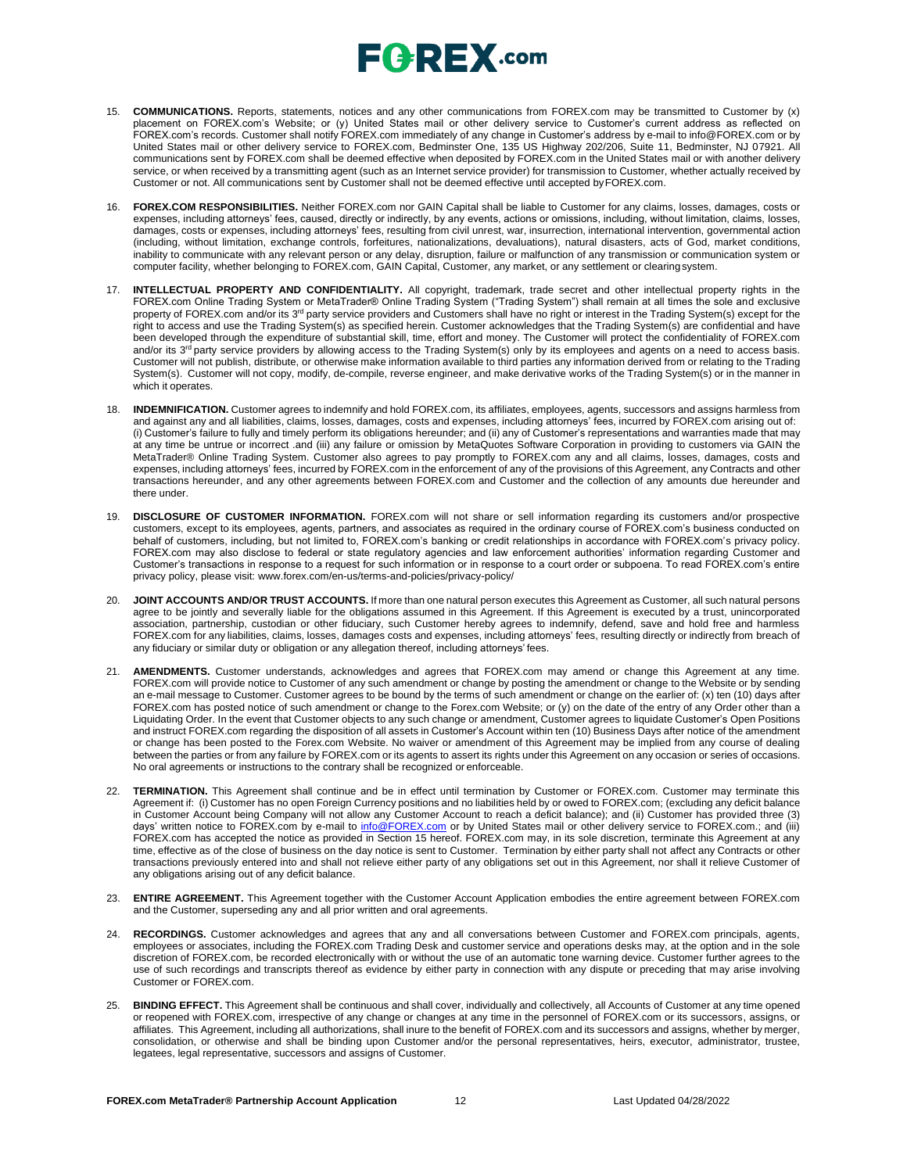- 15. **COMMUNICATIONS.** Reports, statements, notices and any other communications from FOREX.com may be transmitted to Customer by (x) placement on FOREX.com's Website; or (y) United States mail or other delivery service to Customer's current address as reflected on FOREX.com's records. Customer shall notify FOREX.com immediately of any change in Customer's address by e-mail to [info@FOREX.com](mailto:info@FOREX.com) or by United States mail or other delivery service to FOREX.com, Bedminster One, 135 US Highway 202/206, Suite 11, Bedminster, NJ 07921. All communications sent by FOREX.com shall be deemed effective when deposited by FOREX.com in the United States mail or with another delivery service, or when received by a transmitting agent (such as an Internet service provider) for transmission to Customer, whether actually received by Customer or not. All communications sent by Customer shall not be deemed effective until accepted byFOREX.com.
- 16. **FOREX.COM RESPONSIBILITIES.** Neither FOREX.com nor GAIN Capital shall be liable to Customer for any claims, losses, damages, costs or expenses, including attorneys' fees, caused, directly or indirectly, by any events, actions or omissions, including, without limitation, claims, losses, damages, costs or expenses, including attorneys' fees, resulting from civil unrest, war, insurrection, international intervention, governmental action (including, without limitation, exchange controls, forfeitures, nationalizations, devaluations), natural disasters, acts of God, market conditions, inability to communicate with any relevant person or any delay, disruption, failure or malfunction of any transmission or communication system or computer facility, whether belonging to FOREX.com, GAIN Capital, Customer, any market, or any settlement or clearingsystem.
- 17. **INTELLECTUAL PROPERTY AND CONFIDENTIALITY.** All copyright, trademark, trade secret and other intellectual property rights in the FOREX.com Online Trading System or MetaTrader® Online Trading System ("Trading System") shall remain at all times the sole and exclusive property of FOREX.com and/or its 3<sup>rd</sup> party service providers and Customers shall have no right or interest in the Trading System(s) except for the right to access and use the Trading System(s) as specified herein. Customer acknowledges that the Trading System(s) are confidential and have been developed through the expenditure of substantial skill, time, effort and money. The Customer will protect the confidentiality of FOREX.com<br>and/or its 3<sup>rd</sup> party service providers by allowing access to the Trading Sys Customer will not publish, distribute, or otherwise make information available to third parties any information derived from or relating to the Trading System(s). Customer will not copy, modify, de-compile, reverse engineer, and make derivative works of the Trading System(s) or in the manner in which it operates.
- 18. **INDEMNIFICATION.** Customer agrees to indemnify and hold FOREX.com, its affiliates, employees, agents, successors and assigns harmless from and against any and all liabilities, claims, losses, damages, costs and expenses, including attorneys' fees, incurred by FOREX.com arising out of: (i) Customer's failure to fully and timely perform its obligations hereunder; and (ii) any of Customer's representations and warranties made that may at any time be untrue or incorrect .and (iii) any failure or omission by MetaQuotes Software Corporation in providing to customers via GAIN the MetaTrader® Online Trading System. Customer also agrees to pay promptly to FOREX.com any and all claims, losses, damages, costs and expenses, including attorneys' fees, incurred by FOREX.com in the enforcement of any of the provisions of this Agreement, any Contracts and other transactions hereunder, and any other agreements between FOREX.com and Customer and the collection of any amounts due hereunder and there under.
- 19. **DISCLOSURE OF CUSTOMER INFORMATION.** FOREX.com will not share or sell information regarding its customers and/or prospective customers, except to its employees, agents, partners, and associates as required in the ordinary course of FOREX.com's business conducted on behalf of customers, including, but not limited to, FOREX.com's banking or credit relationships in accordance with FOREX.com's privacy policy. FOREX.com may also disclose to federal or state regulatory agencies and law enforcement authorities' information regarding Customer and Customer's transactions in response to a request for such information or in response to a court order or subpoena. To read FOREX.com's entire privacy policy, please visit: [www.forex.com/en-us/terms-and-policies/privacy-policy/](http://www.forex.com/en-us/terms-and-policies/privacy-policy/)
- 20. **JOINT ACCOUNTS AND/OR TRUST ACCOUNTS.** If more than one natural person executes this Agreement as Customer, all such natural persons agree to be jointly and severally liable for the obligations assumed in this Agreement. If this Agreement is executed by a trust, unincorporated association, partnership, custodian or other fiduciary, such Customer hereby agrees to indemnify, defend, save and hold free and harmless FOREX.com for any liabilities, claims, losses, damages costs and expenses, including attorneys' fees, resulting directly or indirectly from breach of any fiduciary or similar duty or obligation or any allegation thereof, including attorneys' fees.
- 21. **AMENDMENTS.** Customer understands, acknowledges and agrees that FOREX.com may amend or change this Agreement at any time. FOREX.com will provide notice to Customer of any such amendment or change by posting the amendment or change to the Website or by sending an e-mail message to Customer. Customer agrees to be bound by the terms of such amendment or change on the earlier of: (x) ten (10) days after FOREX.com has posted notice of such amendment or change to the Forex.com Website; or (y) on the date of the entry of any Order other than a Liquidating Order. In the event that Customer objects to any such change or amendment, Customer agrees to liquidate Customer's Open Positions and instruct FOREX.com regarding the disposition of all assets in Customer's Account within ten (10) Business Days after notice of the amendment or change has been posted to the Forex.com Website. No waiver or amendment of this Agreement may be implied from any course of dealing between the parties or from any failure by FOREX.com or its agents to assert its rights under this Agreement on any occasion or series of occasions. No oral agreements or instructions to the contrary shall be recognized or enforceable.
- TERMINATION. This Agreement shall continue and be in effect until termination by Customer or FOREX.com. Customer may terminate this Agreement if: (i) Customer has no open Foreign Currency positions and no liabilities held by or owed to FOREX.com; (excluding any deficit balance in Customer Account being Company will not allow any Customer Account to reach a deficit balance); and (ii) Customer has provided three (3) days' written notice to FOREX.com by e-mail to *[info@FOREX.com](mailto:info@fxadvantage.com)* or by United States mail or other delivery service to FOREX.com.; and (iii) FOREX.com has accepted the notice as provided in Section 15 hereof. FOREX.com may, in its sole discretion, terminate this Agreement at any time, effective as of the close of business on the day notice is sent to Customer. Termination by either party shall not affect any Contracts or other transactions previously entered into and shall not relieve either party of any obligations set out in this Agreement, nor shall it relieve Customer of any obligations arising out of any deficit balance.
- 23. **ENTIRE AGREEMENT.** This Agreement together with the Customer Account Application embodies the entire agreement between FOREX.com and the Customer, superseding any and all prior written and oral agreements.
- 24. **RECORDINGS.** Customer acknowledges and agrees that any and all conversations between Customer and FOREX.com principals, agents, employees or associates, including the FOREX.com Trading Desk and customer service and operations desks may, at the option and in the sole discretion of FOREX.com, be recorded electronically with or without the use of an automatic tone warning device. Customer further agrees to the use of such recordings and transcripts thereof as evidence by either party in connection with any dispute or preceding that may arise involving Customer or FOREX.com.
- 25. **BINDING EFFECT.** This Agreement shall be continuous and shall cover, individually and collectively, all Accounts of Customer at any time opened or reopened with FOREX.com, irrespective of any change or changes at any time in the personnel of FOREX.com or its successors, assigns, or affiliates. This Agreement, including all authorizations, shall inure to the benefit of FOREX.com and its successors and assigns, whether by merger, consolidation, or otherwise and shall be binding upon Customer and/or the personal representatives, heirs, executor, administrator, trustee, legatees, legal representative, successors and assigns of Customer.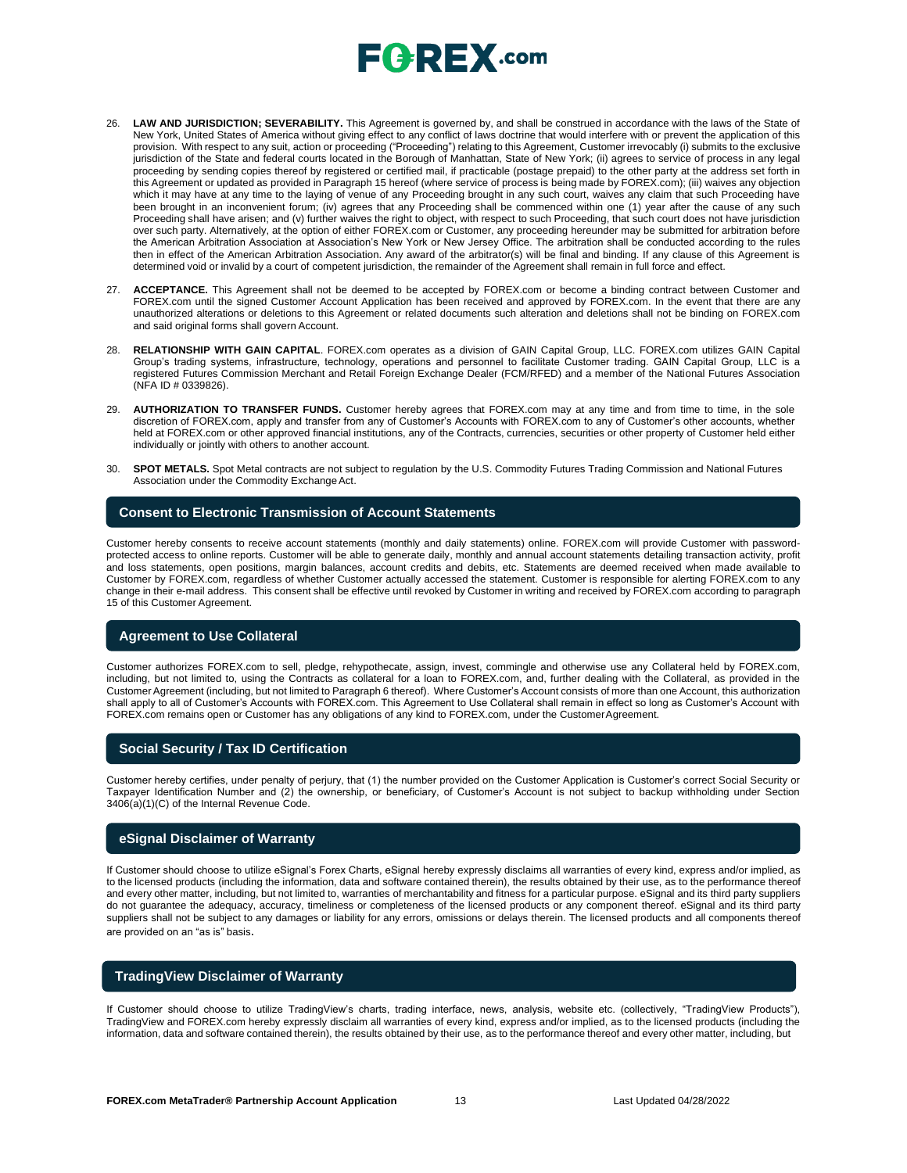- 26. **LAW AND JURISDICTION; SEVERABILITY.** This Agreement is governed by, and shall be construed in accordance with the laws of the State of New York, United States of America without giving effect to any conflict of laws doctrine that would interfere with or prevent the application of this provision. With respect to any suit, action or proceeding ("Proceeding") relating to this Agreement, Customer irrevocably (i) submits to the exclusive jurisdiction of the State and federal courts located in the Borough of Manhattan, State of New York; (ii) agrees to service of process in any legal proceeding by sending copies thereof by registered or certified mail, if practicable (postage prepaid) to the other party at the address set forth in this Agreement or updated as provided in Paragraph 15 hereof (where service of process is being made by FOREX.com); (iii) waives any objection which it may have at any time to the laying of venue of any Proceeding brought in any such court, waives any claim that such Proceeding have been brought in an inconvenient forum; (iv) agrees that any Proceeding shall be commenced within one (1) year after the cause of any such Proceeding shall have arisen; and (v) further waives the right to object, with respect to such Proceeding, that such court does not have jurisdiction over such party. Alternatively, at the option of either FOREX.com or Customer, any proceeding hereunder may be submitted for arbitration before the American Arbitration Association at Association's New York or New Jersey Office. The arbitration shall be conducted according to the rules then in effect of the American Arbitration Association. Any award of the arbitrator(s) will be final and binding. If any clause of this Agreement is determined void or invalid by a court of competent jurisdiction, the remainder of the Agreement shall remain in full force and effect.
- 27. **ACCEPTANCE.** This Agreement shall not be deemed to be accepted by FOREX.com or become a binding contract between Customer and FOREX.com until the signed Customer Account Application has been received and approved by FOREX.com. In the event that there are any unauthorized alterations or deletions to this Agreement or related documents such alteration and deletions shall not be binding on FOREX.com and said original forms shall govern Account.
- 28. **RELATIONSHIP WITH GAIN CAPITAL**. FOREX.com operates as a division of GAIN Capital Group, LLC. FOREX.com utilizes GAIN Capital Group's trading systems, infrastructure, technology, operations and personnel to facilitate Customer trading. GAIN Capital Group, LLC is a registered Futures Commission Merchant and Retail Foreign Exchange Dealer (FCM/RFED) and a member of the National Futures Association (NFA ID # 0339826).
- 29. **AUTHORIZATION TO TRANSFER FUNDS.** Customer hereby agrees that FOREX.com may at any time and from time to time, in the sole discretion of FOREX.com, apply and transfer from any of Customer's Accounts with FOREX.com to any of Customer's other accounts, whether held at FOREX.com or other approved financial institutions, any of the Contracts, currencies, securities or other property of Customer held either individually or jointly with others to another account.
- 30. **SPOT METALS.** Spot Metal contracts are not subject to regulation by the U.S. Commodity Futures Trading Commission and National Futures Association under the Commodity Exchange Act.

#### **Consent to Electronic Transmission of Account Statements**

Customer hereby consents to receive account statements (monthly and daily statements) online. FOREX.com will provide Customer with passwordprotected access to online reports. Customer will be able to generate daily, monthly and annual account statements detailing transaction activity, profit and loss statements, open positions, margin balances, account credits and debits, etc. Statements are deemed received when made available to Customer by FOREX.com, regardless of whether Customer actually accessed the statement. Customer is responsible for alerting FOREX.com to any change in their e-mail address. This consent shall be effective until revoked by Customer in writing and received by FOREX.com according to paragraph 15 of this Customer Agreement.

### **Agreement to Use Collateral**

Customer authorizes FOREX.com to sell, pledge, rehypothecate, assign, invest, commingle and otherwise use any Collateral held by FOREX.com, including, but not limited to, using the Contracts as collateral for a loan to FOREX.com, and, further dealing with the Collateral, as provided in the Customer Agreement (including, but not limited to Paragraph 6 thereof). Where Customer's Account consists of more than one Account, this authorization shall apply to all of Customer's Accounts with FOREX.com. This Agreement to Use Collateral shall remain in effect so long as Customer's Account with FOREX.com remains open or Customer has any obligations of any kind to FOREX.com, under the CustomerAgreement.

### **Social Security / Tax ID Certification**

Customer hereby certifies, under penalty of perjury, that (1) the number provided on the Customer Application is Customer's correct Social Security or Taxpayer Identification Number and (2) the ownership, or beneficiary, of Customer's Account is not subject to backup withholding under Section 3406(a)(1)(C) of the Internal Revenue Code.

#### **eSignal Disclaimer of Warranty**

If Customer should choose to utilize eSignal's Forex Charts, eSignal hereby expressly disclaims all warranties of every kind, express and/or implied, as to the licensed products (including the information, data and software contained therein), the results obtained by their use, as to the performance thereof and every other matter, including, but not limited to, warranties of merchantability and fitness for a particular purpose. eSignal and its third party suppliers do not guarantee the adequacy, accuracy, timeliness or completeness of the licensed products or any component thereof. eSignal and its third party suppliers shall not be subject to any damages or liability for any errors, omissions or delays therein. The licensed products and all components thereof are provided on an "as is" basis.

### **TradingView Disclaimer of Warranty**

If Customer should choose to utilize TradingView's charts, trading interface, news, analysis, website etc. (collectively, "TradingView Products"), TradingView and FOREX.com hereby expressly disclaim all warranties of every kind, express and/or implied, as to the licensed products (including the information, data and software contained therein), the results obtained by their use, as to the performance thereof and every other matter, including, but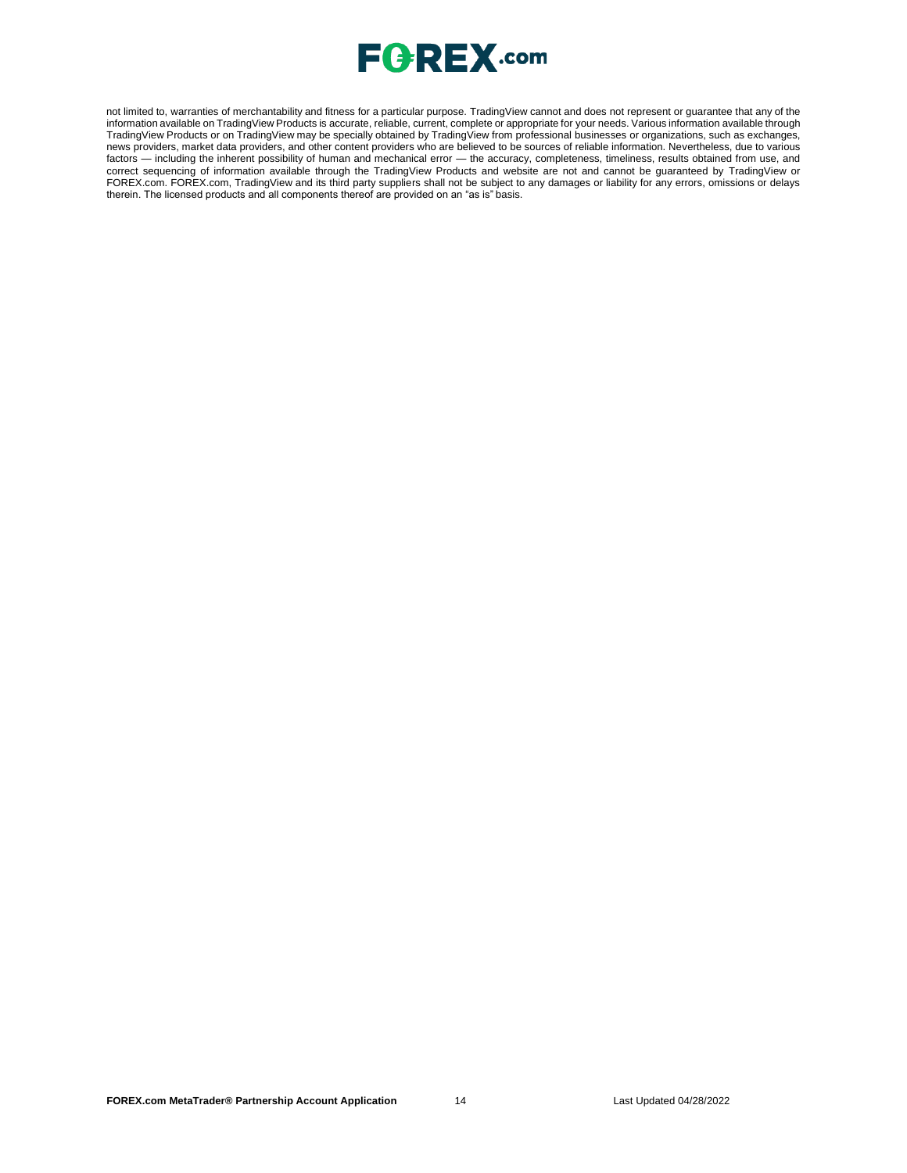

not limited to, warranties of merchantability and fitness for a particular purpose. TradingView cannot and does not represent or guarantee that any of the information available on TradingView Products is accurate, reliable, current, complete or appropriate for your needs. Various information available through TradingView Products or on TradingView may be specially obtained by TradingView from professional businesses or organizations, such as exchanges, news providers, market data providers, and other content providers who are believed to be sources of reliable information. Nevertheless, due to various factors — including the inherent possibility of human and mechanical error — the accuracy, completeness, timeliness, results obtained from use, and correct sequencing of information available through the TradingView Products and website are not and cannot be guaranteed by TradingView or FOREX.com. FOREX.com, TradingView and its third party suppliers shall not be subject to any damages or liability for any errors, omissions or delays therein. The licensed products and all components thereof are provided on an "as is" basis.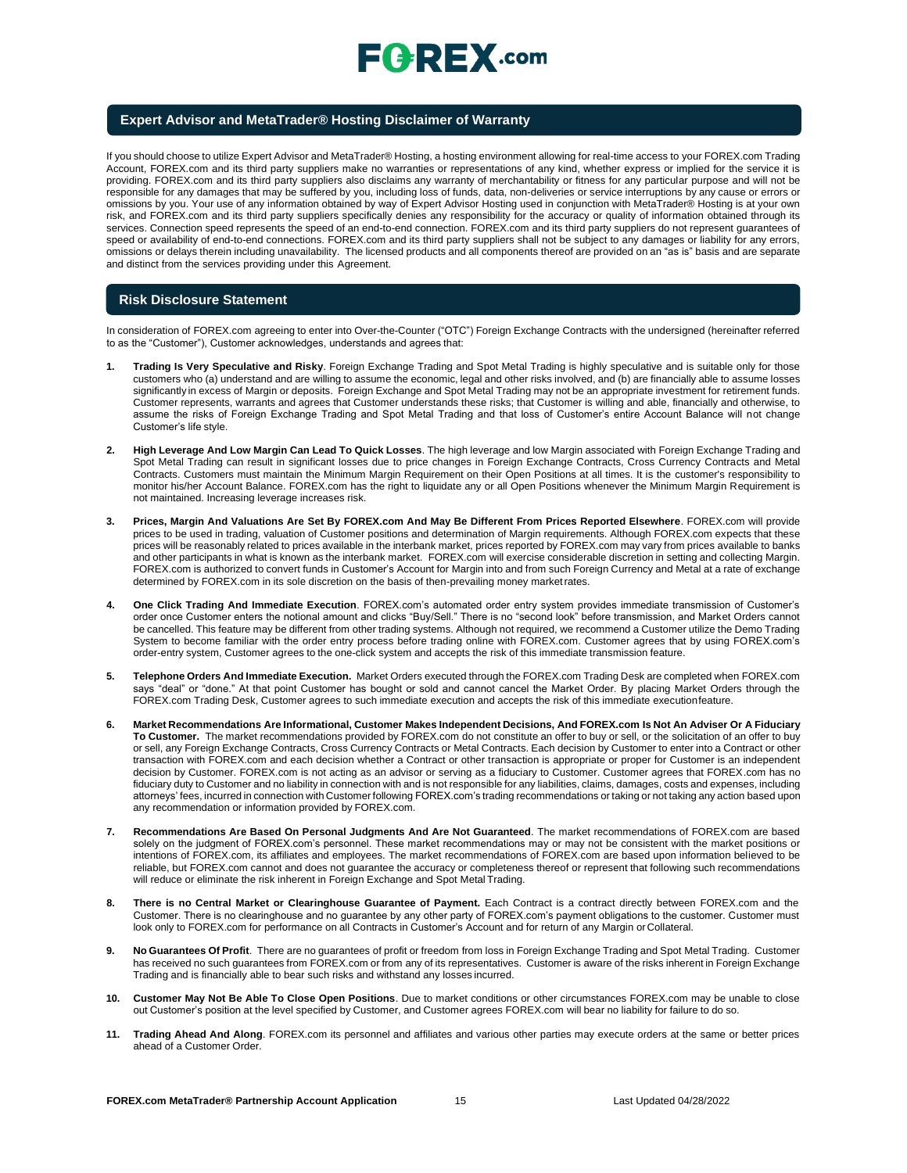

#### **Expert Advisor and MetaTrader® Hosting Disclaimer of Warranty**

If you should choose to utilize Expert Advisor and MetaTrader® Hosting, a hosting environment allowing for real-time access to your FOREX.com Trading Account, FOREX.com and its third party suppliers make no warranties or representations of any kind, whether express or implied for the service it is providing. FOREX.com and its third party suppliers also disclaims any warranty of merchantability or fitness for any particular purpose and will not be responsible for any damages that may be suffered by you, including loss of funds, data, non-deliveries or service interruptions by any cause or errors or omissions by you. Your use of any information obtained by way of Expert Advisor Hosting used in conjunction with MetaTrader® Hosting is at your own risk, and FOREX.com and its third party suppliers specifically denies any responsibility for the accuracy or quality of information obtained through its services. Connection speed represents the speed of an end-to-end connection. FOREX.com and its third party suppliers do not represent guarantees of speed or availability of end-to-end connections. FOREX.com and its third party suppliers shall not be subject to any damages or liability for any errors, omissions or delays therein including unavailability. The licensed products and all components thereof are provided on an "as is" basis and are separate and distinct from the services providing under this Agreement.

#### **Risk Disclosure Statement**

In consideration of FOREX.com agreeing to enter into Over-the-Counter ("OTC") Foreign Exchange Contracts with the undersigned (hereinafter referred to as the "Customer"), Customer acknowledges, understands and agrees that:

- **1. Trading Is Very Speculative and Risky**. Foreign Exchange Trading and Spot Metal Trading is highly speculative and is suitable only for those customers who (a) understand and are willing to assume the economic, legal and other risks involved, and (b) are financially able to assume losses significantly in excess of Margin or deposits. Foreign Exchange and Spot Metal Trading may not be an appropriate investment for retirement funds. Customer represents, warrants and agrees that Customer understands these risks; that Customer is willing and able, financially and otherwise, to assume the risks of Foreign Exchange Trading and Spot Metal Trading and that loss of Customer's entire Account Balance will not change Customer's life style.
- **2. High Leverage And Low Margin Can Lead To Quick Losses**. The high leverage and low Margin associated with Foreign Exchange Trading and Spot Metal Trading can result in significant losses due to price changes in Foreign Exchange Contracts, Cross Currency Contracts and Metal Contracts. Customers must maintain the Minimum Margin Requirement on their Open Positions at all times. It is the customer's responsibility to monitor his/her Account Balance. FOREX.com has the right to liquidate any or all Open Positions whenever the Minimum Margin Requirement is not maintained. Increasing leverage increases risk.
- **3. Prices, Margin And Valuations Are Set By FOREX.com And May Be Different From Prices Reported Elsewhere**. FOREX.com will provide prices to be used in trading, valuation of Customer positions and determination of Margin requirements. Although FOREX.com expects that these prices will be reasonably related to prices available in the interbank market, prices reported by FOREX.com may vary from prices available to banks and other participants in what is known as the interbank market. FOREX.com will exercise considerable discretion in setting and collecting Margin. FOREX.com is authorized to convert funds in Customer's Account for Margin into and from such Foreign Currency and Metal at a rate of exchange determined by FOREX.com in its sole discretion on the basis of then-prevailing money marketrates.
- **4. One Click Trading And Immediate Execution**. FOREX.com's automated order entry system provides immediate transmission of Customer's order once Customer enters the notional amount and clicks "Buy/Sell." There is no "second look" before transmission, and Market Orders cannot be cancelled. This feature may be different from other trading systems. Although not required, we recommend a Customer utilize the Demo Trading System to become familiar with the order entry process before trading online with FOREX.com. Customer agrees that by using FOREX.com's order-entry system, Customer agrees to the one-click system and accepts the risk of this immediate transmission feature.
- **5. Telephone Orders And Immediate Execution.** Market Orders executed through the FOREX.com Trading Desk are completed when FOREX.com says "deal" or "done." At that point Customer has bought or sold and cannot cancel the Market Order. By placing Market Orders through the FOREX.com Trading Desk, Customer agrees to such immediate execution and accepts the risk of this immediate executionfeature.
- 6. Market Recommendations Are Informational, Customer Makes Independent Decisions, And FOREX.com Is Not An Adviser Or A Fiduciary **To Customer.** The market recommendations provided by FOREX.com do not constitute an offer to buy or sell, or the solicitation of an offer to buy or sell, any Foreign Exchange Contracts, Cross Currency Contracts or Metal Contracts. Each decision by Customer to enter into a Contract or other transaction with FOREX.com and each decision whether a Contract or other transaction is appropriate or proper for Customer is an independent decision by Customer. FOREX.com is not acting as an advisor or serving as a fiduciary to Customer. Customer agrees that FOREX.com has no fiduciary duty to Customer and no liability in connection with and is not responsible for any liabilities, claims, damages, costs and expenses, including attorneys' fees, incurred in connection with Customer following FOREX.com's trading recommendations or taking or not taking any action based upon any recommendation or information provided by FOREX.com.
- **7. Recommendations Are Based On Personal Judgments And Are Not Guaranteed**. The market recommendations of FOREX.com are based solely on the judgment of FOREX.com's personnel. These market recommendations may or may not be consistent with the market positions or intentions of FOREX.com, its affiliates and employees. The market recommendations of FOREX.com are based upon information believed to be reliable, but FOREX.com cannot and does not guarantee the accuracy or completeness thereof or represent that following such recommendations will reduce or eliminate the risk inherent in Foreign Exchange and Spot Metal Trading.
- 8. There is no Central Market or Clearinghouse Guarantee of Payment. Each Contract is a contract directly between FOREX.com and the Customer. There is no clearinghouse and no guarantee by any other party of FOREX.com's payment obligations to the customer. Customer must look only to FOREX.com for performance on all Contracts in Customer's Account and for return of any Margin orCollateral.
- **9. No Guarantees Of Profit**. There are no guarantees of profit or freedom from loss in Foreign Exchange Trading and Spot Metal Trading. Customer has received no such guarantees from FOREX.com or from any of its representatives. Customer is aware of the risks inherent in Foreign Exchange Trading and is financially able to bear such risks and withstand any losses incurred.
- **10. Customer May Not Be Able To Close Open Positions**. Due to market conditions or other circumstances FOREX.com may be unable to close out Customer's position at the level specified by Customer, and Customer agrees FOREX.com will bear no liability for failure to do so.
- **11. Trading Ahead And Along**. FOREX.com its personnel and affiliates and various other parties may execute orders at the same or better prices ahead of a Customer Order.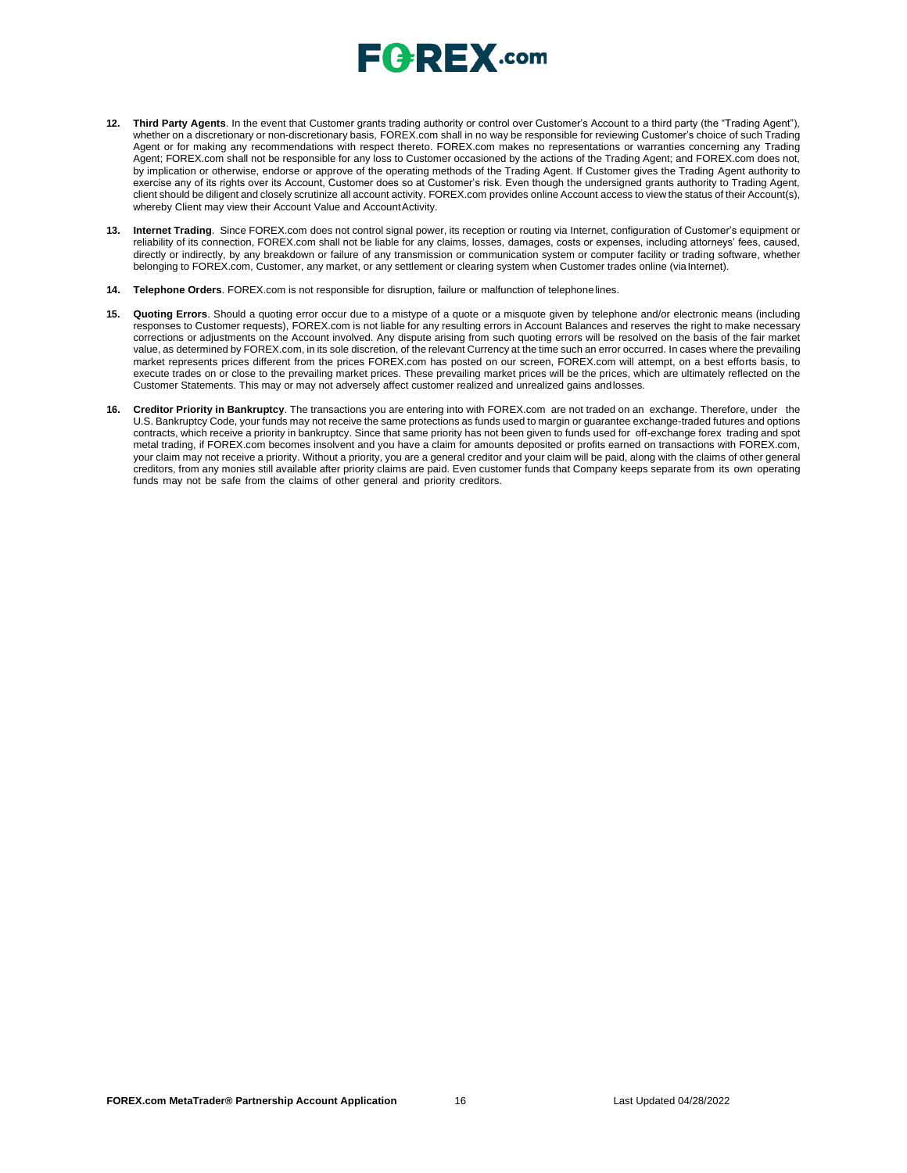# $E$   $R$   $E$   $X$  .com

- **12. Third Party Agents**. In the event that Customer grants trading authority or control over Customer's Account to a third party (the "Trading Agent"), whether on a discretionary or non-discretionary basis, FOREX.com shall in no way be responsible for reviewing Customer's choice of such Trading Agent or for making any recommendations with respect thereto. FOREX.com makes no representations or warranties concerning any Trading Agent; FOREX.com shall not be responsible for any loss to Customer occasioned by the actions of the Trading Agent; and FOREX.com does not, by implication or otherwise, endorse or approve of the operating methods of the Trading Agent. If Customer gives the Trading Agent authority to exercise any of its rights over its Account, Customer does so at Customer's risk. Even though the undersigned grants authority to Trading Agent, client should be diligent and closely scrutinize all account activity. FOREX.com provides online Account access to view the status of their Account(s), whereby Client may view their Account Value and AccountActivity.
- **13. Internet Trading**. Since FOREX.com does not control signal power, its reception or routing via Internet, configuration of Customer's equipment or reliability of its connection, FOREX.com shall not be liable for any claims, losses, damages, costs or expenses, including attorneys' fees, caused, directly or indirectly, by any breakdown or failure of any transmission or communication system or computer facility or trading software, whether belonging to FOREX.com, Customer, any market, or any settlement or clearing system when Customer trades online (viaInternet).
- **14. Telephone Orders**. FOREX.com is not responsible for disruption, failure or malfunction of telephonelines.
- **15. Quoting Errors**. Should a quoting error occur due to a mistype of a quote or a misquote given by telephone and/or electronic means (including responses to Customer requests), FOREX.com is not liable for any resulting errors in Account Balances and reserves the right to make necessary corrections or adjustments on the Account involved. Any dispute arising from such quoting errors will be resolved on the basis of the fair market value, as determined by FOREX.com, in its sole discretion, of the relevant Currency at the time such an error occurred. In cases where the prevailing market represents prices different from the prices FOREX.com has posted on our screen, FOREX.com will attempt, on a best efforts basis, to execute trades on or close to the prevailing market prices. These prevailing market prices will be the prices, which are ultimately reflected on the Customer Statements. This may or may not adversely affect customer realized and unrealized gains andlosses.
- **16. Creditor Priority in Bankruptcy**. The transactions you are entering into with FOREX.com are not traded on an exchange. Therefore, under the U.S. Bankruptcy Code, your funds may not receive the same protections as funds used to margin or guarantee exchange-traded futures and options contracts, which receive a priority in bankruptcy. Since that same priority has not been given to funds used for off-exchange forex trading and spot metal trading, if FOREX.com becomes insolvent and you have a claim for amounts deposited or profits earned on transactions with FOREX.com, your claim may not receive a priority. Without a priority, you are a general creditor and your claim will be paid, along with the claims of other general creditors, from any monies still available after priority claims are paid. Even customer funds that Company keeps separate from its own operating funds may not be safe from the claims of other general and priority creditors.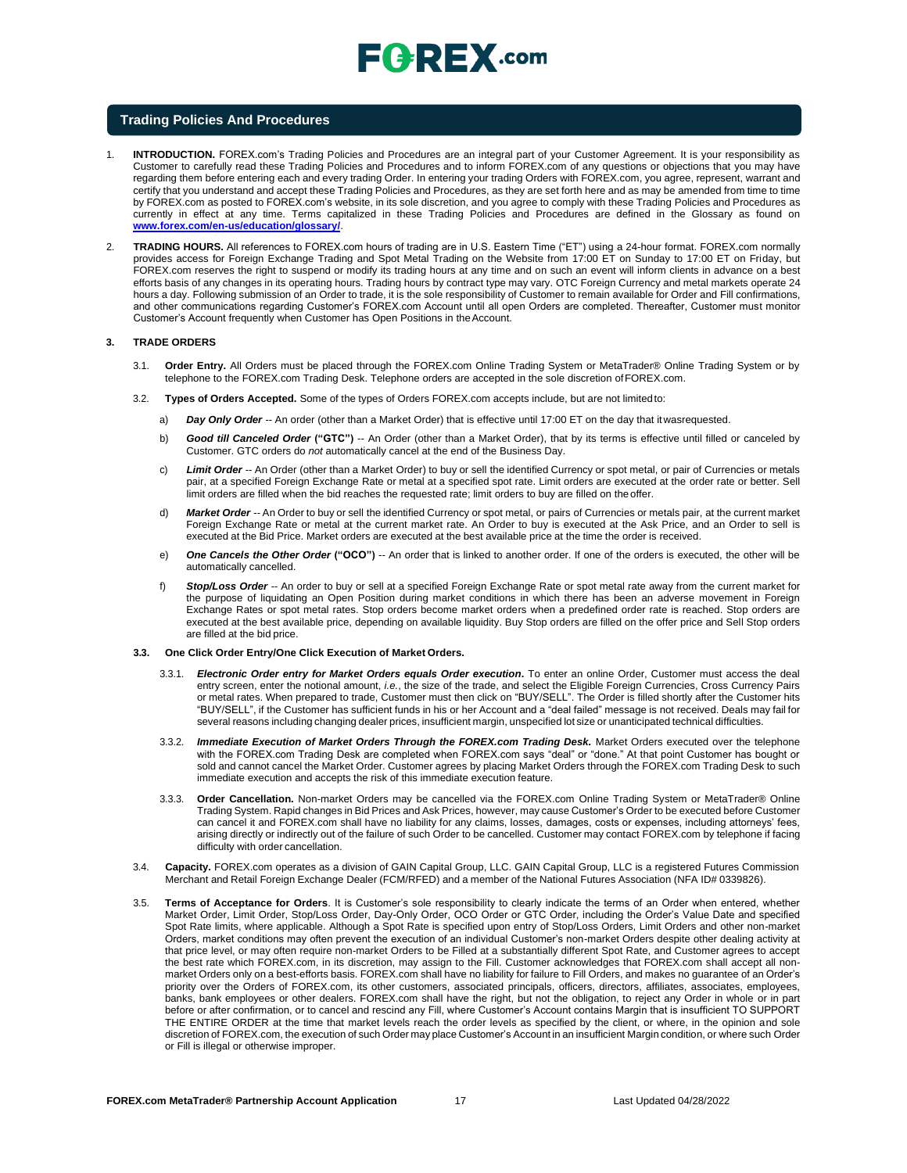

#### **Trading Policies And Procedures**

- 1. **INTRODUCTION.** FOREX.com's Trading Policies and Procedures are an integral part of your Customer Agreement. It is your responsibility as Customer to carefully read these Trading Policies and Procedures and to inform FOREX.com of any questions or objections that you may have regarding them before entering each and every trading Order. In entering your trading Orders with FOREX.com, you agree, represent, warrant and certify that you understand and accept these Trading Policies and Procedures, as they are set forth here and as may be amended from time to time by FOREX.com as posted to FOREX.com's website, in its sole discretion, and you agree to comply with these Trading Policies and Procedures as currently in effect at any time. Terms capitalized in these Trading Policies and Procedures are defined in the Glossary as found o[n](http://www.forex.com/en-us/education/glossary/) **[www.forex.com/en-us/education/glossary/](http://www.forex.com/en-us/education/glossary/)**.
- 2. **TRADING HOURS.** All references to FOREX.com hours of trading are in U.S. Eastern Time ("ET") using a 24-hour format. FOREX.com normally provides access for Foreign Exchange Trading and Spot Metal Trading on the Website from 17:00 ET on Sunday to 17:00 ET on Friday, but FOREX.com reserves the right to suspend or modify its trading hours at any time and on such an event will inform clients in advance on a best efforts basis of any changes in its operating hours. Trading hours by contract type may vary. OTC Foreign Currency and metal markets operate 24 hours a day. Following submission of an Order to trade, it is the sole responsibility of Customer to remain available for Order and Fill confirmations, and other communications regarding Customer's FOREX.com Account until all open Orders are completed. Thereafter, Customer must monitor Customer's Account frequently when Customer has Open Positions in the Account.

#### **3. TRADE ORDERS**

- 3.1. **Order Entry.** All Orders must be placed through the FOREX.com Online Trading System or MetaTrader® Online Trading System or by telephone to the FOREX.com Trading Desk. Telephone orders are accepted in the sole discretion of FOREX.com.
- 3.2. **Types of Orders Accepted.** Some of the types of Orders FOREX.com accepts include, but are not limited to:
	- a) *Day Only Order --* An order (other than a Market Order) that is effective until 17:00 ET on the day that itwasrequested.
	- b) *Good till Canceled Order* **("GTC")** -- An Order (other than a Market Order), that by its terms is effective until filled or canceled by Customer. GTC orders do *not* automatically cancel at the end of the Business Day.
	- c) *Limit Order --* An Order (other than a Market Order) to buy or sell the identified Currency or spot metal, or pair of Currencies or metals pair, at a specified Foreign Exchange Rate or metal at a specified spot rate. Limit orders are executed at the order rate or better. Sell limit orders are filled when the bid reaches the requested rate; limit orders to buy are filled on theoffer.
	- d) *Market Order --* An Order to buy or sell the identified Currency or spot metal, or pairs of Currencies or metals pair, at the current market Foreign Exchange Rate or metal at the current market rate. An Order to buy is executed at the Ask Price, and an Order to sell is executed at the Bid Price. Market orders are executed at the best available price at the time the order is received.
	- e) *One Cancels the Other Order* **("OCO")** -- An order that is linked to another order. If one of the orders is executed, the other will be automatically cancelled.
	- f) *Stop/Loss Order --* An order to buy or sell at a specified Foreign Exchange Rate or spot metal rate away from the current market for the purpose of liquidating an Open Position during market conditions in which there has been an adverse movement in Foreign Exchange Rates or spot metal rates. Stop orders become market orders when a predefined order rate is reached. Stop orders are executed at the best available price, depending on available liquidity. Buy Stop orders are filled on the offer price and Sell Stop orders are filled at the bid price.

#### **3.3. One Click Order Entry/One Click Execution of Market Orders.**

- 3.3.1. *Electronic Order entry for Market Orders equals Order execution***.** To enter an online Order, Customer must access the deal entry screen, enter the notional amount, *i.e.*, the size of the trade, and select the Eligible Foreign Currencies, Cross Currency Pairs or metal rates. When prepared to trade, Customer must then click on "BUY/SELL". The Order is filled shortly after the Customer hits "BUY/SELL", if the Customer has sufficient funds in his or her Account and a "deal failed" message is not received. Deals may fail for several reasons including changing dealer prices, insufficient margin, unspecified lot size or unanticipated technical difficulties.
- Immediate Execution of Market Orders Through the FOREX.com Trading Desk. Market Orders executed over the telephone with the FOREX.com Trading Desk are completed when FOREX.com says "deal" or "done." At that point Customer has bought or sold and cannot cancel the Market Order. Customer agrees by placing Market Orders through the FOREX.com Trading Desk to such immediate execution and accepts the risk of this immediate execution feature.
- 3.3.3. **Order Cancellation.** Non-market Orders may be cancelled via the FOREX.com Online Trading System or MetaTrader® Online Trading System. Rapid changes in Bid Prices and Ask Prices, however, may cause Customer's Order to be executed before Customer can cancel it and FOREX.com shall have no liability for any claims, losses, damages, costs or expenses, including attorneys' fees, arising directly or indirectly out of the failure of such Order to be cancelled. Customer may contact FOREX.com by telephone if facing difficulty with order cancellation.
- 3.4. **Capacity.** FOREX.com operates as a division of GAIN Capital Group, LLC. GAIN Capital Group, LLC is a registered Futures Commission Merchant and Retail Foreign Exchange Dealer (FCM/RFED) and a member of the National Futures Association (NFA ID# 0339826).
- 3.5. **Terms of Acceptance for Orders**. It is Customer's sole responsibility to clearly indicate the terms of an Order when entered, whether Market Order, Limit Order, Stop/Loss Order, Day-Only Order, OCO Order or GTC Order, including the Order's Value Date and specified Spot Rate limits, where applicable. Although a Spot Rate is specified upon entry of Stop/Loss Orders, Limit Orders and other non-market Orders, market conditions may often prevent the execution of an individual Customer's non-market Orders despite other dealing activity at that price level, or may often require non-market Orders to be Filled at a substantially different Spot Rate, and Customer agrees to accept the best rate which FOREX.com, in its discretion, may assign to the Fill. Customer acknowledges that FOREX.com shall accept all nonmarket Orders only on a best-efforts basis. FOREX.com shall have no liability for failure to Fill Orders, and makes no guarantee of an Order's priority over the Orders of FOREX.com, its other customers, associated principals, officers, directors, affiliates, associates, employees, banks, bank employees or other dealers. FOREX.com shall have the right, but not the obligation, to reject any Order in whole or in part before or after confirmation, or to cancel and rescind any Fill, where Customer's Account contains Margin that is insufficient TO SUPPORT THE ENTIRE ORDER at the time that market levels reach the order levels as specified by the client, or where, in the opinion and sole discretion of FOREX.com, the execution of such Order may place Customer's Account in an insufficient Margin condition, or where such Order or Fill is illegal or otherwise improper.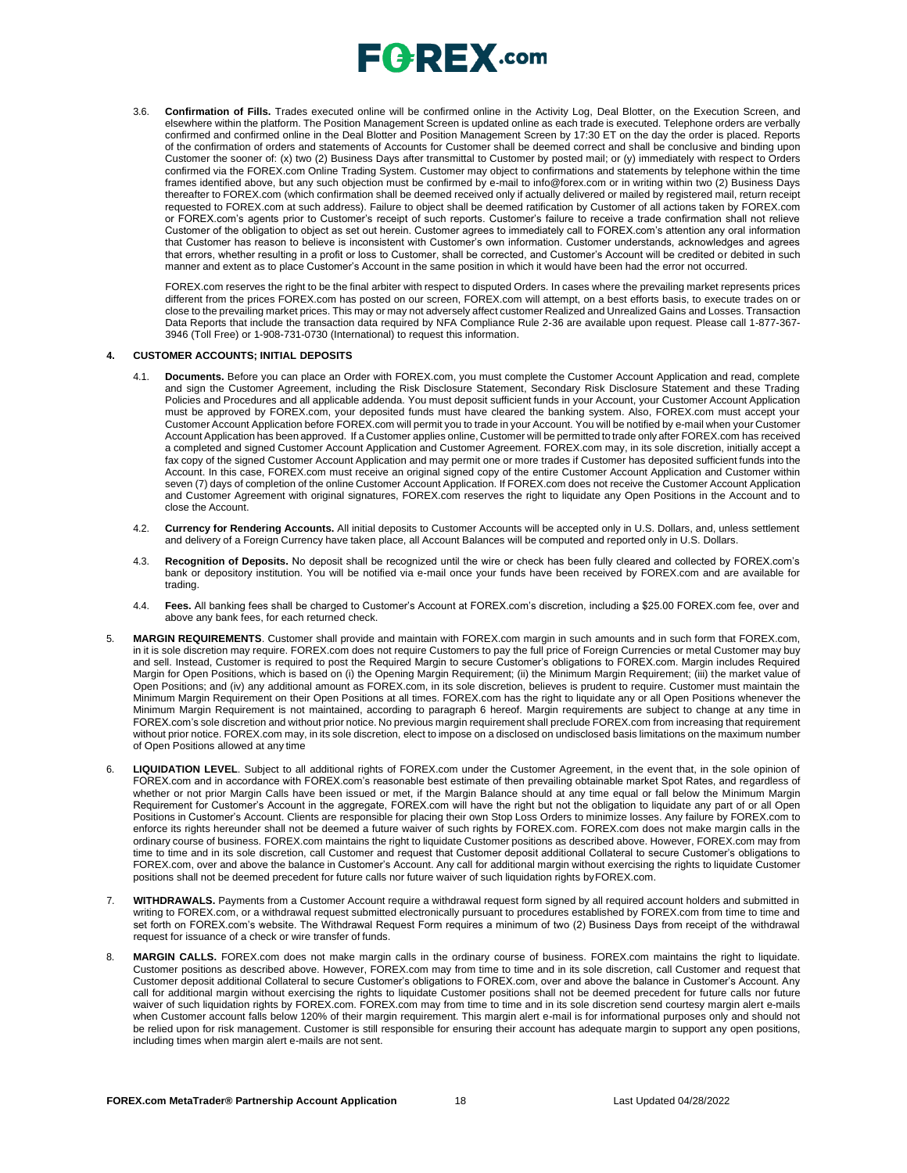

3.6. **Confirmation of Fills.** Trades executed online will be confirmed online in the Activity Log, Deal Blotter, on the Execution Screen, and elsewhere within the platform. The Position Management Screen is updated online as each trade is executed. Telephone orders are verbally confirmed and confirmed online in the Deal Blotter and Position Management Screen by 17:30 ET on the day the order is placed. Reports of the confirmation of orders and statements of Accounts for Customer shall be deemed correct and shall be conclusive and binding upon Customer the sooner of: (x) two (2) Business Days after transmittal to Customer by posted mail; or (y) immediately with respect to Orders confirmed via the FOREX.com Online Trading System. Customer may object to confirmations and statements by telephone within the time frames identified above, but any such objection must be confirmed by e-mail t[o info@forex.com o](mailto:info@forex.com)r in writing within two (2) Business Days thereafter to FOREX.com (which confirmation shall be deemed received only if actually delivered or mailed by registered mail, return receipt requested to FOREX.com at such address). Failure to object shall be deemed ratification by Customer of all actions taken by FOREX.com or FOREX.com's agents prior to Customer's receipt of such reports. Customer's failure to receive a trade confirmation shall not relieve Customer of the obligation to object as set out herein. Customer agrees to immediately call to FOREX.com's attention any oral information that Customer has reason to believe is inconsistent with Customer's own information. Customer understands, acknowledges and agrees that errors, whether resulting in a profit or loss to Customer, shall be corrected, and Customer's Account will be credited or debited in such manner and extent as to place Customer's Account in the same position in which it would have been had the error not occurred.

FOREX.com reserves the right to be the final arbiter with respect to disputed Orders. In cases where the prevailing market represents prices different from the prices FOREX.com has posted on our screen, FOREX.com will attempt, on a best efforts basis, to execute trades on or close to the prevailing market prices. This may or may not adversely affect customer Realized and Unrealized Gains and Losses. Transaction Data Reports that include the transaction data required by NFA Compliance Rule 2-36 are available upon request. Please call 1-877-367- 3946 (Toll Free) or 1-908-731-0730 (International) to request this information.

#### **4. CUSTOMER ACCOUNTS; INITIAL DEPOSITS**

- 4.1. **Documents.** Before you can place an Order with FOREX.com, you must complete the Customer Account Application and read, complete and sign the Customer Agreement, including the Risk Disclosure Statement, Secondary Risk Disclosure Statement and these Trading Policies and Procedures and all applicable addenda. You must deposit sufficient funds in your Account, your Customer Account Application must be approved by FOREX.com, your deposited funds must have cleared the banking system. Also, FOREX.com must accept your Customer Account Application before FOREX.com will permit you to trade in your Account. You will be notified by e-mail when your Customer Account Application has been approved. If a Customer applies online, Customer will be permitted to trade only after FOREX.com has received a completed and signed Customer Account Application and Customer Agreement. FOREX.com may, in its sole discretion, initially accept a fax copy of the signed Customer Account Application and may permit one or more trades if Customer has deposited sufficient funds into the Account. In this case, FOREX.com must receive an original signed copy of the entire Customer Account Application and Customer within seven (7) days of completion of the online Customer Account Application. If FOREX.com does not receive the Customer Account Application and Customer Agreement with original signatures, FOREX.com reserves the right to liquidate any Open Positions in the Account and to close the Account.
- 4.2. **Currency for Rendering Accounts.** All initial deposits to Customer Accounts will be accepted only in U.S. Dollars, and, unless settlement and delivery of a Foreign Currency have taken place, all Account Balances will be computed and reported only in U.S. Dollars.
- 4.3. **Recognition of Deposits.** No deposit shall be recognized until the wire or check has been fully cleared and collected by FOREX.com's bank or depository institution. You will be notified via e-mail once your funds have been received by FOREX.com and are available for trading.
- 4.4. **Fees.** All banking fees shall be charged to Customer's Account at FOREX.com's discretion, including a \$25.00 FOREX.com fee, over and above any bank fees, for each returned check.
- 5. **MARGIN REQUIREMENTS**. Customer shall provide and maintain with FOREX.com margin in such amounts and in such form that FOREX.com, in it is sole discretion may require. FOREX.com does not require Customers to pay the full price of Foreign Currencies or metal Customer may buy and sell. Instead, Customer is required to post the Required Margin to secure Customer's obligations to FOREX.com. Margin includes Required Margin for Open Positions, which is based on (i) the Opening Margin Requirement; (ii) the Minimum Margin Requirement; (iii) the market value of Open Positions; and (iv) any additional amount as FOREX.com, in its sole discretion, believes is prudent to require. Customer must maintain the Minimum Margin Requirement on their Open Positions at all times. FOREX.com has the right to liquidate any or all Open Positions whenever the Minimum Margin Requirement is not maintained, according to paragraph 6 hereof. Margin requirements are subject to change at any time in FOREX.com's sole discretion and without prior notice. No previous margin requirement shall preclude FOREX.com from increasing that requirement without prior notice. FOREX.com may, in its sole discretion, elect to impose on a disclosed on undisclosed basis limitations on the maximum number of Open Positions allowed at any time
- 6. **LIQUIDATION LEVEL**. Subject to all additional rights of FOREX.com under the Customer Agreement, in the event that, in the sole opinion of FOREX.com and in accordance with FOREX.com's reasonable best estimate of then prevailing obtainable market Spot Rates, and regardless of whether or not prior Margin Calls have been issued or met, if the Margin Balance should at any time equal or fall below the Minimum Margin Requirement for Customer's Account in the aggregate, FOREX.com will have the right but not the obligation to liquidate any part of or all Open Positions in Customer's Account. Clients are responsible for placing their own Stop Loss Orders to minimize losses. Any failure by FOREX.com to enforce its rights hereunder shall not be deemed a future waiver of such rights by FOREX.com. FOREX.com does not make margin calls in the ordinary course of business. FOREX.com maintains the right to liquidate Customer positions as described above. However, FOREX.com may from time to time and in its sole discretion, call Customer and request that Customer deposit additional Collateral to secure Customer's obligations to FOREX.com, over and above the balance in Customer's Account. Any call for additional margin without exercising the rights to liquidate Customer positions shall not be deemed precedent for future calls nor future waiver of such liquidation rights byFOREX.com.
- 7. **WITHDRAWALS.** Payments from a Customer Account require a withdrawal request form signed by all required account holders and submitted in writing to FOREX.com, or a withdrawal request submitted electronically pursuant to procedures established by FOREX.com from time to time and set forth on FOREX.com's website. The Withdrawal Request Form requires a minimum of two (2) Business Days from receipt of the withdrawal request for issuance of a check or wire transfer of funds.
- 8. **MARGIN CALLS.** FOREX.com does not make margin calls in the ordinary course of business. FOREX.com maintains the right to liquidate. Customer positions as described above. However, FOREX.com may from time to time and in its sole discretion, call Customer and request that Customer deposit additional Collateral to secure Customer's obligations to FOREX.com, over and above the balance in Customer's Account. Any call for additional margin without exercising the rights to liquidate Customer positions shall not be deemed precedent for future calls nor future waiver of such liquidation rights by FOREX.com. FOREX.com may from time to time and in its sole discretion send courtesy margin alert e-mails when Customer account falls below 120% of their margin requirement. This margin alert e-mail is for informational purposes only and should not be relied upon for risk management. Customer is still responsible for ensuring their account has adequate margin to support any open positions, including times when margin alert e-mails are not sent.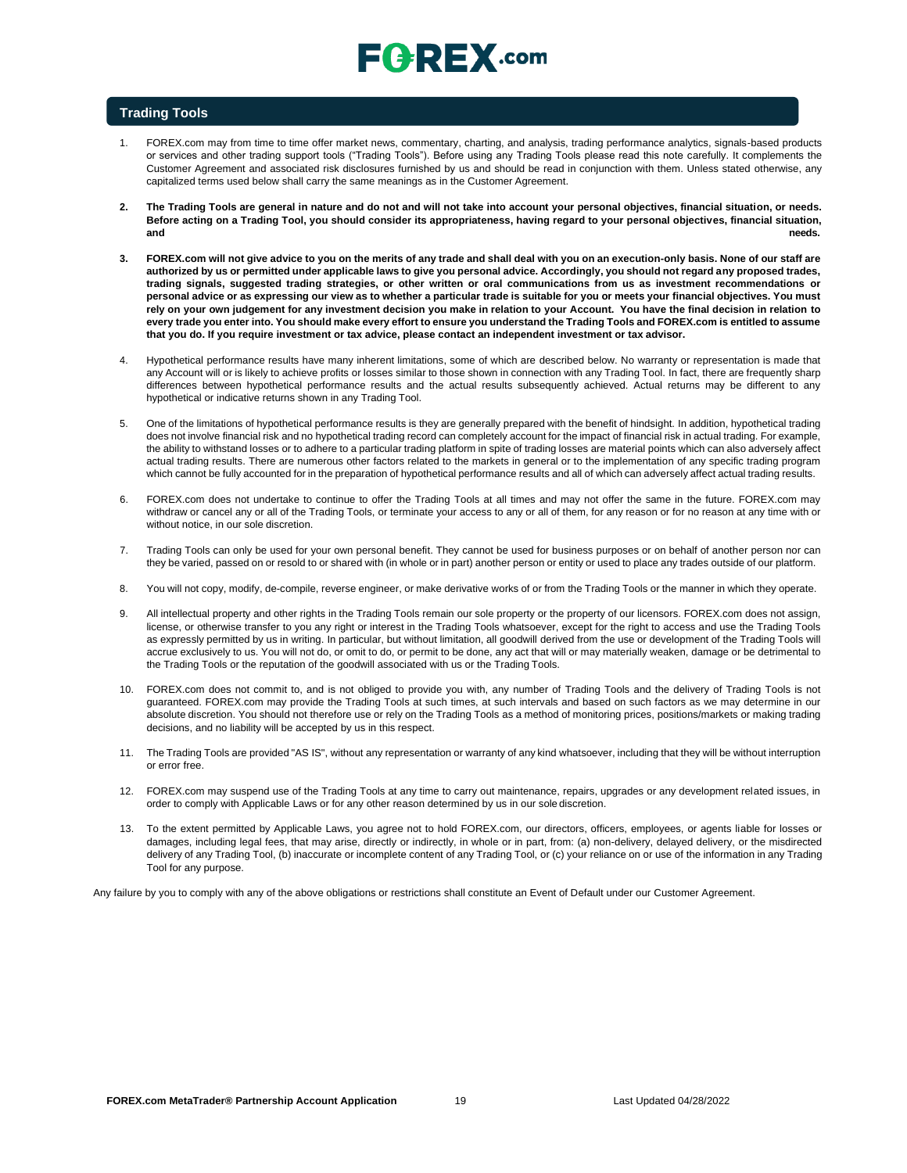# $E$   $R$   $E$   $X$  .com

### **Trading Tools**

- 1. FOREX.com may from time to time offer market news, commentary, charting, and analysis, trading performance analytics, signals-based products or services and other trading support tools ("Trading Tools"). Before using any Trading Tools please read this note carefully. It complements the Customer Agreement and associated risk disclosures furnished by us and should be read in conjunction with them. Unless stated otherwise, any capitalized terms used below shall carry the same meanings as in the Customer Agreement.
- **2. The Trading Tools are general in nature and do not and will not take into account your personal objectives, financial situation, or needs. Before acting on a Trading Tool, you should consider its appropriateness, having regard to your personal objectives, financial situation, and needs.**
- **3. FOREX.com will not give advice to you on the merits of any trade and shall deal with you on an execution-only basis. None of our staff are authorized by us or permitted under applicable laws to give you personal advice. Accordingly, you should not regard any proposed trades, trading signals, suggested trading strategies, or other written or oral communications from us as investment recommendations or personal advice or as expressing our view as to whether a particular trade is suitable for you or meets your financial objectives. You must** rely on your own judgement for any investment decision you make in relation to your Account. You have the final decision in relation to **every trade you enter into. You should make every effort to ensure you understand the Trading Tools and FOREX.com is entitled to assume that you do. If you require investment or tax advice, please contact an independent investment or tax advisor.**
- 4. Hypothetical performance results have many inherent limitations, some of which are described below. No warranty or representation is made that any Account will or is likely to achieve profits or losses similar to those shown in connection with any Trading Tool. In fact, there are frequently sharp differences between hypothetical performance results and the actual results subsequently achieved. Actual returns may be different to any hypothetical or indicative returns shown in any Trading Tool.
- 5. One of the limitations of hypothetical performance results is they are generally prepared with the benefit of hindsight. In addition, hypothetical trading does not involve financial risk and no hypothetical trading record can completely account for the impact of financial risk in actual trading. For example, the ability to withstand losses or to adhere to a particular trading platform in spite of trading losses are material points which can also adversely affect actual trading results. There are numerous other factors related to the markets in general or to the implementation of any specific trading program which cannot be fully accounted for in the preparation of hypothetical performance results and all of which can adversely affect actual trading results.
- 6. FOREX.com does not undertake to continue to offer the Trading Tools at all times and may not offer the same in the future. FOREX.com may withdraw or cancel any or all of the Trading Tools, or terminate your access to any or all of them, for any reason or for no reason at any time with or without notice, in our sole discretion.
- 7. Trading Tools can only be used for your own personal benefit. They cannot be used for business purposes or on behalf of another person nor can they be varied, passed on or resold to or shared with (in whole or in part) another person or entity or used to place any trades outside of our platform.
- 8. You will not copy, modify, de-compile, reverse engineer, or make derivative works of or from the Trading Tools or the manner in which they operate.
- 9. All intellectual property and other rights in the Trading Tools remain our sole property or the property of our licensors. FOREX.com does not assign, license, or otherwise transfer to you any right or interest in the Trading Tools whatsoever, except for the right to access and use the Trading Tools as expressly permitted by us in writing. In particular, but without limitation, all goodwill derived from the use or development of the Trading Tools will accrue exclusively to us. You will not do, or omit to do, or permit to be done, any act that will or may materially weaken, damage or be detrimental to the Trading Tools or the reputation of the goodwill associated with us or the Trading Tools.
- 10. FOREX.com does not commit to, and is not obliged to provide you with, any number of Trading Tools and the delivery of Trading Tools is not guaranteed. FOREX.com may provide the Trading Tools at such times, at such intervals and based on such factors as we may determine in our absolute discretion. You should not therefore use or rely on the Trading Tools as a method of monitoring prices, positions/markets or making trading decisions, and no liability will be accepted by us in this respect.
- 11. The Trading Tools are provided "AS IS", without any representation or warranty of any kind whatsoever, including that they will be without interruption or error free.
- 12. FOREX.com may suspend use of the Trading Tools at any time to carry out maintenance, repairs, upgrades or any development related issues, in order to comply with Applicable Laws or for any other reason determined by us in our sole discretion.
- 13. To the extent permitted by Applicable Laws, you agree not to hold FOREX.com, our directors, officers, employees, or agents liable for losses or damages, including legal fees, that may arise, directly or indirectly, in whole or in part, from: (a) non-delivery, delayed delivery, or the misdirected delivery of any Trading Tool, (b) inaccurate or incomplete content of any Trading Tool, or (c) your reliance on or use of the information in any Trading Tool for any purpose.

Any failure by you to comply with any of the above obligations or restrictions shall constitute an Event of Default under our Customer Agreement.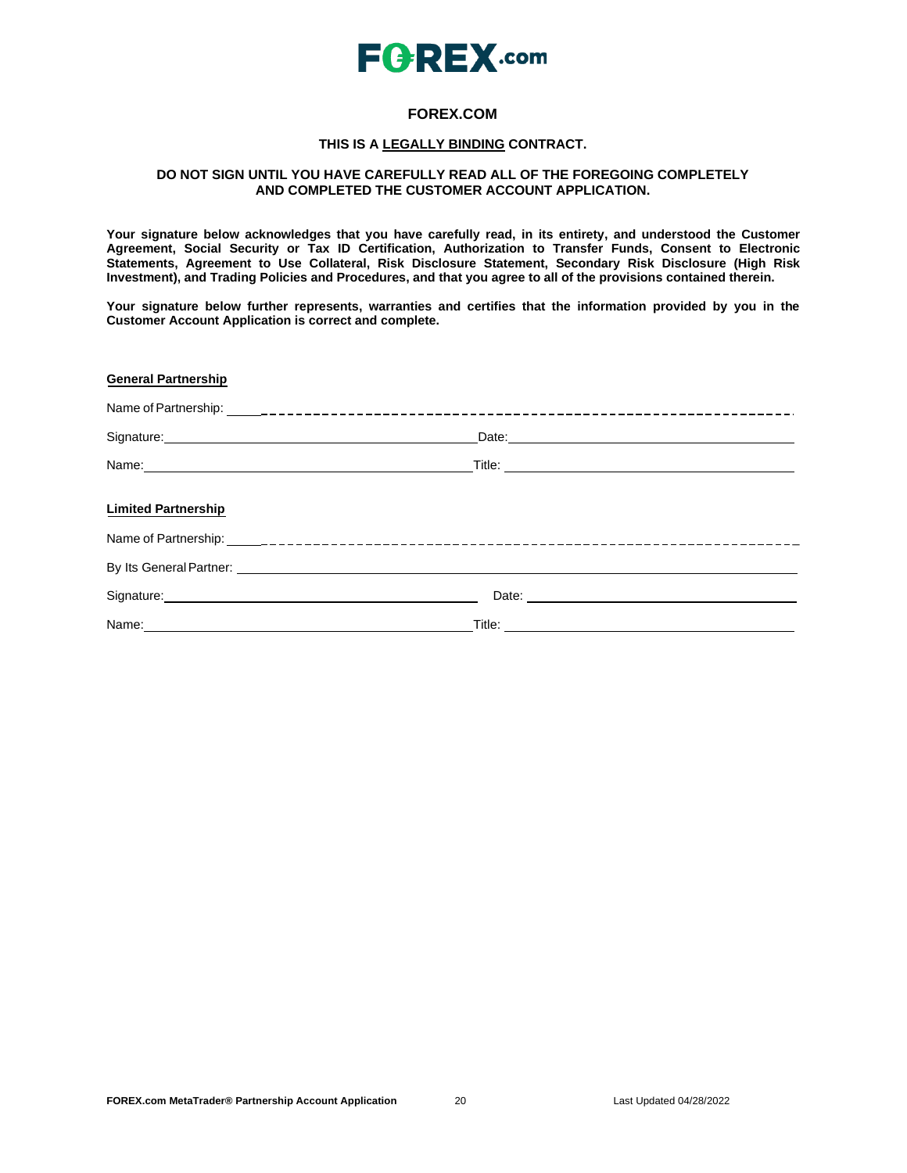

### **FOREX.COM**

### **THIS IS A LEGALLY BINDING CONTRACT.**

### **DO NOT SIGN UNTIL YOU HAVE CAREFULLY READ ALL OF THE FOREGOING COMPLETELY AND COMPLETED THE CUSTOMER ACCOUNT APPLICATION.**

**Your signature below acknowledges that you have carefully read, in its entirety, and understood the Customer Agreement, Social Security or Tax ID Certification, Authorization to Transfer Funds, Consent to Electronic Statements, Agreement to Use Collateral, Risk Disclosure Statement, Secondary Risk Disclosure (High Risk Investment), and Trading Policies and Procedures, and that you agree to all of the provisions contained therein.**

**Your signature below further represents, warranties and certifies that the information provided by you in the Customer Account Application is correct and complete.**

| <b>General Partnership</b>                                                                                                                                                                                                     |                                                                                                                                                                                                                                      |
|--------------------------------------------------------------------------------------------------------------------------------------------------------------------------------------------------------------------------------|--------------------------------------------------------------------------------------------------------------------------------------------------------------------------------------------------------------------------------------|
|                                                                                                                                                                                                                                |                                                                                                                                                                                                                                      |
| Signature: Management of the Communication of the Communication of the Communication of the Communication of the Communication of the Communication of the Communication of the Communication of the Communication of the Comm |                                                                                                                                                                                                                                      |
| Name: Name: Name: Name: Name: Name: Name: Name: Name: Name: Name: Name: Name: Name: Name: Name: Name: Name: Name: Name: Name: Name: Name: Name: Name: Name: Name: Name: Name: Name: Name: Name: Name: Name: Name: Name: Name:  | Title: <u>Alexander Alexander Alexander Alexander Alexander Alexander Alexander Alexander Alexander Alexander Alexander Alexander Alexander Alexander Alexander Alexander Alexander Alexander Alexander Alexander Alexander Alex</u> |
| <b>Limited Partnership</b>                                                                                                                                                                                                     |                                                                                                                                                                                                                                      |
|                                                                                                                                                                                                                                |                                                                                                                                                                                                                                      |
|                                                                                                                                                                                                                                |                                                                                                                                                                                                                                      |
|                                                                                                                                                                                                                                |                                                                                                                                                                                                                                      |
|                                                                                                                                                                                                                                |                                                                                                                                                                                                                                      |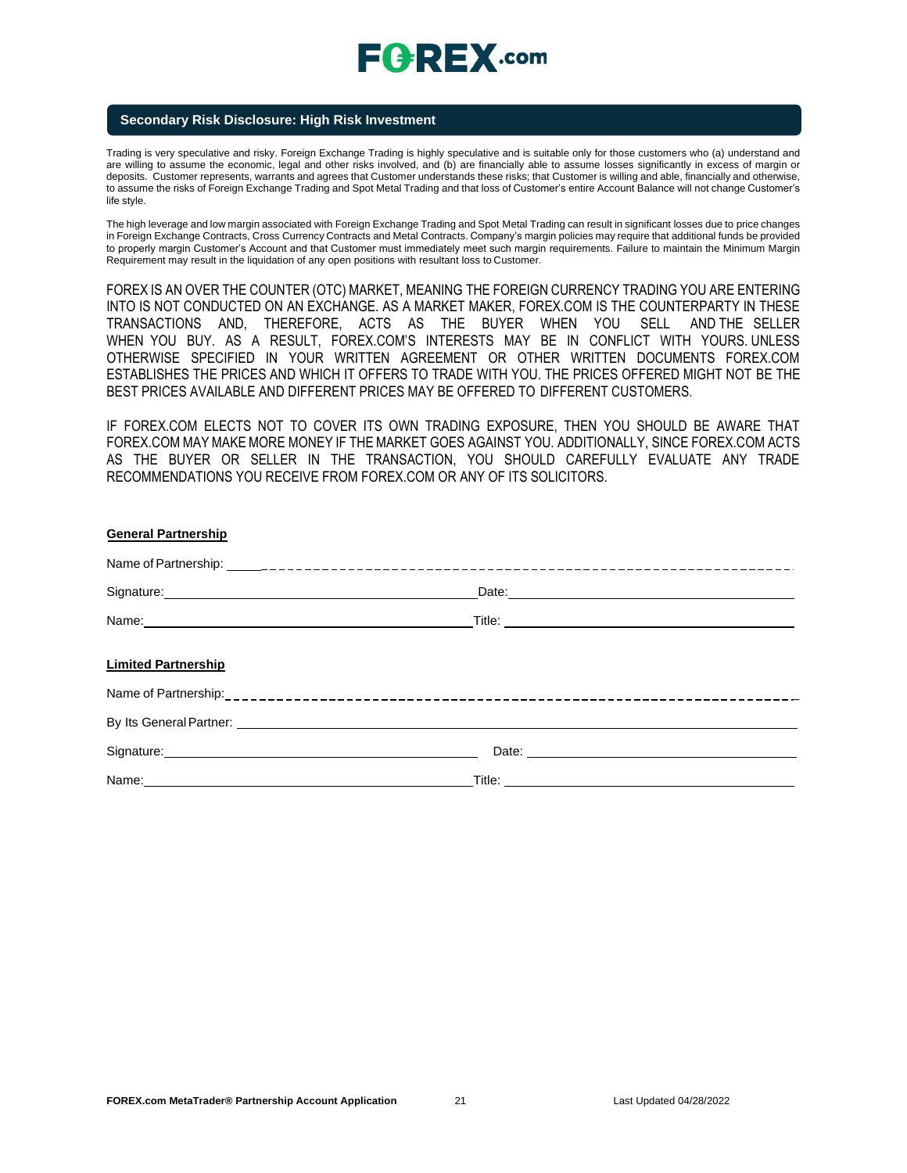# $E$ **CREX**.com

### **Secondary Risk Disclosure: High Risk Investment**

Trading is very speculative and risky. Foreign Exchange Trading is highly speculative and is suitable only for those customers who (a) understand and are willing to assume the economic, legal and other risks involved, and (b) are financially able to assume losses significantly in excess of margin or deposits. Customer represents, warrants and agrees that Customer understands these risks; that Customer is willing and able, financially and otherwise, to assume the risks of Foreign Exchange Trading and Spot Metal Trading and that loss of Customer's entire Account Balance will not change Customer's life style.

The high leverage and low margin associated with Foreign Exchange Trading and Spot Metal Trading can result in significant losses due to price changes in Foreign Exchange Contracts, Cross Currency Contracts and Metal Contracts. Company's margin policies may require that additional funds be provided to properly margin Customer's Account and that Customer must immediately meet such margin requirements. Failure to maintain the Minimum Margin Requirement may result in the liquidation of any open positions with resultant loss to Customer.

FOREX IS AN OVER THE COUNTER (OTC) MARKET, MEANING THE FOREIGN CURRENCY TRADING YOU ARE ENTERING INTO IS NOT CONDUCTED ON AN EXCHANGE. AS A MARKET MAKER, FOREX.COM IS THE COUNTERPARTY IN THESE TRANSACTIONS AND, THEREFORE, ACTS AS THE BUYER WHEN YOU SELL AND THE SELLER WHEN YOU BUY. AS A RESULT, FOREX.COM'S INTERESTS MAY BE IN CONFLICT WITH YOURS. UNLESS OTHERWISE SPECIFIED IN YOUR WRITTEN AGREEMENT OR OTHER WRITTEN DOCUMENTS FOREX.COM ESTABLISHES THE PRICES AND WHICH IT OFFERS TO TRADE WITH YOU. THE PRICES OFFERED MIGHT NOT BE THE BEST PRICES AVAILABLE AND DIFFERENT PRICES MAY BE OFFERED TO DIFFERENT CUSTOMERS.

IF FOREX.COM ELECTS NOT TO COVER ITS OWN TRADING EXPOSURE, THEN YOU SHOULD BE AWARE THAT FOREX.COM MAY MAKE MORE MONEY IF THE MARKET GOES AGAINST YOU. ADDITIONALLY, SINCE FOREX.COM ACTS AS THE BUYER OR SELLER IN THE TRANSACTION, YOU SHOULD CAREFULLY EVALUATE ANY TRADE RECOMMENDATIONS YOU RECEIVE FROM FOREX.COM OR ANY OF ITS SOLICITORS.

| <b>General Partnership</b>                                                                                                                                                                                                           |                                                                                                                                                                                                                                |
|--------------------------------------------------------------------------------------------------------------------------------------------------------------------------------------------------------------------------------------|--------------------------------------------------------------------------------------------------------------------------------------------------------------------------------------------------------------------------------|
|                                                                                                                                                                                                                                      |                                                                                                                                                                                                                                |
| Signature: <u>contract and a series of the series of the series of the series of the series of the series of the series of the series of the series of the series of the series of the series of the series of the series of the</u> | Late: Later and the second state of the second state of the second state of the second state of the second state of the second state of the second state of the second state of the second state of the second state of the se |
|                                                                                                                                                                                                                                      |                                                                                                                                                                                                                                |
| <b>Limited Partnership</b>                                                                                                                                                                                                           |                                                                                                                                                                                                                                |
|                                                                                                                                                                                                                                      |                                                                                                                                                                                                                                |
| By Its General Partner: <u>Conservation of the Conservation of the Conservation of the Conservation of the Conservation of</u>                                                                                                       |                                                                                                                                                                                                                                |
| Signature: <u>contract and a set of the set of the set of the set of the set of the set of the set of the set of the set of the set of the set of the set of the set of the set of the set of the set of the set of the set of t</u> |                                                                                                                                                                                                                                |
| Name: Name: Name: Name: Name: Name: Name: Name: Name: Name: Name: Name: Name: Name: Name: Name: Name: Name: Name: Name: Name: Name: Name: Name: Name: Name: Name: Name: Name: Name: Name: Name: Name: Name: Name: Name: Name:        |                                                                                                                                                                                                                                |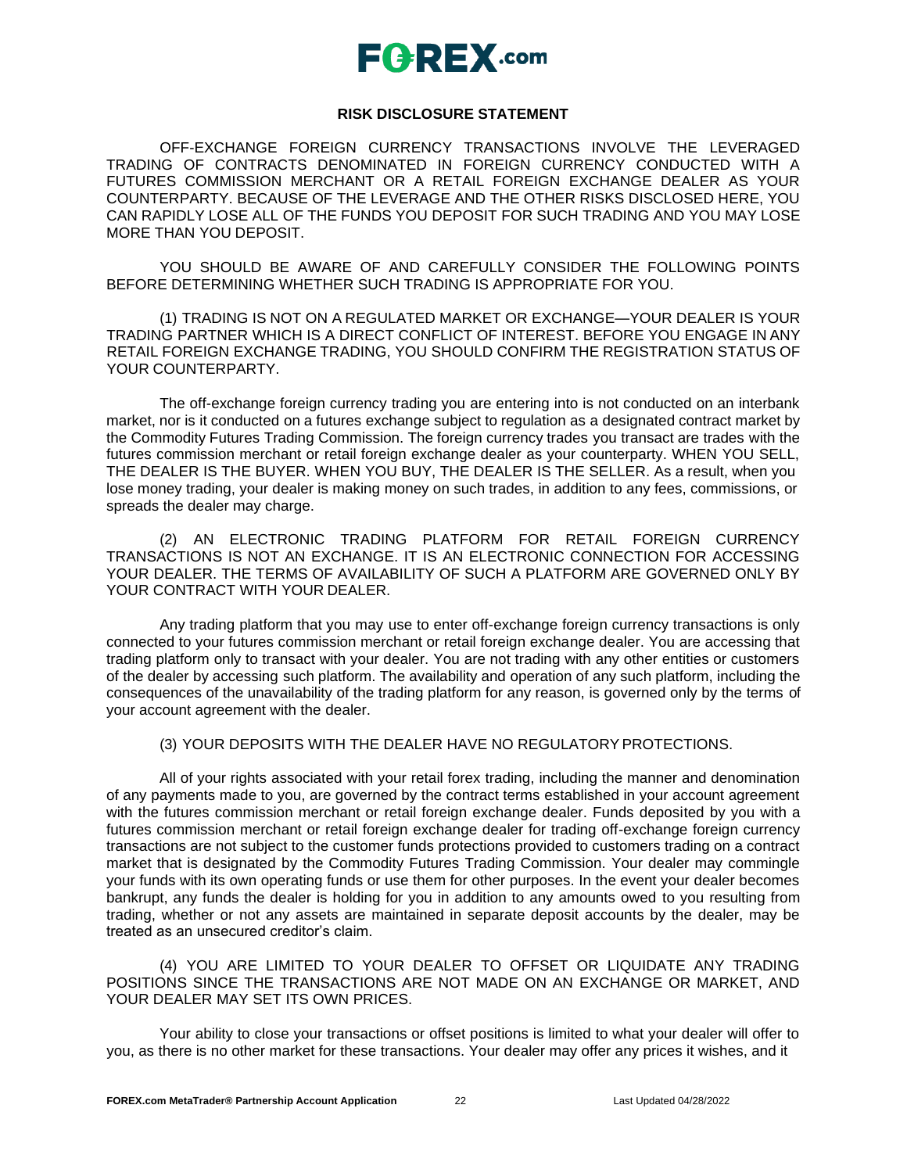# $E$ **AREX**.com

### **RISK DISCLOSURE STATEMENT**

OFF-EXCHANGE FOREIGN CURRENCY TRANSACTIONS INVOLVE THE LEVERAGED TRADING OF CONTRACTS DENOMINATED IN FOREIGN CURRENCY CONDUCTED WITH A FUTURES COMMISSION MERCHANT OR A RETAIL FOREIGN EXCHANGE DEALER AS YOUR COUNTERPARTY. BECAUSE OF THE LEVERAGE AND THE OTHER RISKS DISCLOSED HERE, YOU CAN RAPIDLY LOSE ALL OF THE FUNDS YOU DEPOSIT FOR SUCH TRADING AND YOU MAY LOSE MORE THAN YOU DEPOSIT.

YOU SHOULD BE AWARE OF AND CAREFULLY CONSIDER THE FOLLOWING POINTS BEFORE DETERMINING WHETHER SUCH TRADING IS APPROPRIATE FOR YOU.

(1) TRADING IS NOT ON A REGULATED MARKET OR EXCHANGE—YOUR DEALER IS YOUR TRADING PARTNER WHICH IS A DIRECT CONFLICT OF INTEREST. BEFORE YOU ENGAGE IN ANY RETAIL FOREIGN EXCHANGE TRADING, YOU SHOULD CONFIRM THE REGISTRATION STATUS OF YOUR COUNTERPARTY.

The off-exchange foreign currency trading you are entering into is not conducted on an interbank market, nor is it conducted on a futures exchange subject to regulation as a designated contract market by the Commodity Futures Trading Commission. The foreign currency trades you transact are trades with the futures commission merchant or retail foreign exchange dealer as your counterparty. WHEN YOU SELL, THE DEALER IS THE BUYER. WHEN YOU BUY, THE DEALER IS THE SELLER. As a result, when you lose money trading, your dealer is making money on such trades, in addition to any fees, commissions, or spreads the dealer may charge.

(2) AN ELECTRONIC TRADING PLATFORM FOR RETAIL FOREIGN CURRENCY TRANSACTIONS IS NOT AN EXCHANGE. IT IS AN ELECTRONIC CONNECTION FOR ACCESSING YOUR DEALER. THE TERMS OF AVAILABILITY OF SUCH A PLATFORM ARE GOVERNED ONLY BY YOUR CONTRACT WITH YOUR DEALER.

Any trading platform that you may use to enter off-exchange foreign currency transactions is only connected to your futures commission merchant or retail foreign exchange dealer. You are accessing that trading platform only to transact with your dealer. You are not trading with any other entities or customers of the dealer by accessing such platform. The availability and operation of any such platform, including the consequences of the unavailability of the trading platform for any reason, is governed only by the terms of your account agreement with the dealer.

(3) YOUR DEPOSITS WITH THE DEALER HAVE NO REGULATORYPROTECTIONS.

All of your rights associated with your retail forex trading, including the manner and denomination of any payments made to you, are governed by the contract terms established in your account agreement with the futures commission merchant or retail foreign exchange dealer. Funds deposited by you with a futures commission merchant or retail foreign exchange dealer for trading off-exchange foreign currency transactions are not subject to the customer funds protections provided to customers trading on a contract market that is designated by the Commodity Futures Trading Commission. Your dealer may commingle your funds with its own operating funds or use them for other purposes. In the event your dealer becomes bankrupt, any funds the dealer is holding for you in addition to any amounts owed to you resulting from trading, whether or not any assets are maintained in separate deposit accounts by the dealer, may be treated as an unsecured creditor's claim.

(4) YOU ARE LIMITED TO YOUR DEALER TO OFFSET OR LIQUIDATE ANY TRADING POSITIONS SINCE THE TRANSACTIONS ARE NOT MADE ON AN EXCHANGE OR MARKET, AND YOUR DEALER MAY SET ITS OWN PRICES.

Your ability to close your transactions or offset positions is limited to what your dealer will offer to you, as there is no other market for these transactions. Your dealer may offer any prices it wishes, and it